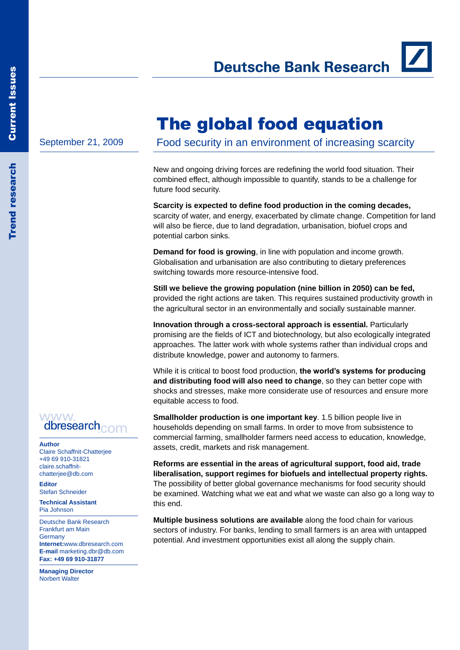**Deutsche Bank Research** 

September 21, 2009

The global food equation

New and ongoing driving forces are redefining the world food situation. Their combined effect, although impossible to quantify, stands to be a challenge for

Food security in an environment of increasing scarcity

future food security. **Scarcity is expected to define food production in the coming decades,** scarcity of water, and energy, exacerbated by climate change. Competition for land will also be fierce, due to land degradation, urbanisation, biofuel crops and

**Demand for food is growing**, in line with population and income growth. Globalisation and urbanisation are also contributing to dietary preferences switching towards more resource-intensive food.

potential carbon sinks.

**Still we believe the growing population (nine billion in 2050) can be fed,** provided the right actions are taken. This requires sustained productivity growth in the agricultural sector in an environmentally and socially sustainable manner.

**Innovation through a cross-sectoral approach is essential.** Particularly promising are the fields of ICT and biotechnology, but also ecologically integrated approaches. The latter work with whole systems rather than individual crops and distribute knowledge, power and autonomy to farmers.

While it is critical to boost food production, **the world's systems for producing and distributing food will also need to change**, so they can better cope with shocks and stresses, make more considerate use of resources and ensure more equitable access to food.

**Smallholder production is one important key**. 1.5 billion people live in households depending on small farms. In order to move from subsistence to commercial farming, smallholder farmers need access to education, knowledge, assets, credit, markets and risk management.

**Reforms are essential in the areas of agricultural support, food aid, trade liberalisation, support regimes for biofuels and intellectual property rights.** The possibility of better global governance mechanisms for food security should be examined. Watching what we eat and what we waste can also go a long way to this end.

**Multiple business solutions are available** along the food chain for various sectors of industry. For banks, lending to small farmers is an area with untapped potential. And investment opportunities exist all along the supply chain.

# WWW dbresearch<sub>com</sub>

**Author** Claire Schaffnit-Chatterjee +49 69 910-31821 claire.schaffnitchatterjee@db.com

**Editor** Stefan Schneider

**Technical Assistant** Pia Johnson

Deutsche Bank Research Frankfurt am Main **Germany Internet:**www.dbresearch.com **E-mail** marketing.dbr@db.com **Fax: +49 69 910-31877**

**Managing Director** Norbert Walter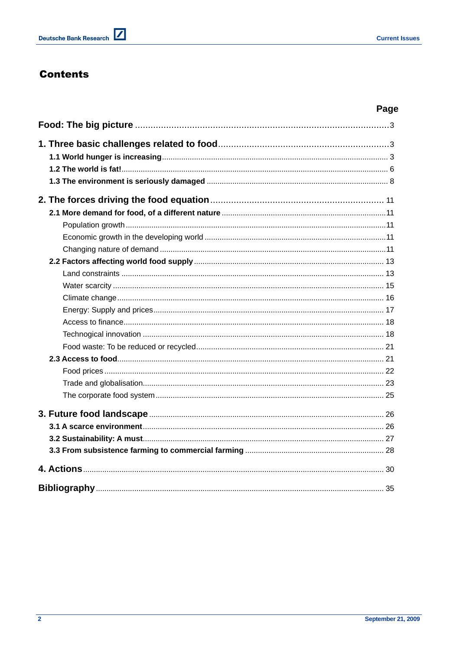# **Contents**

# Page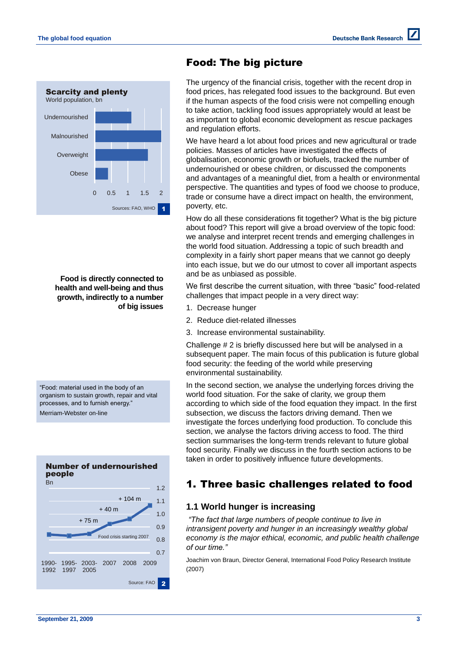

**Food is directly connected to health and well-being and thus growth, indirectly to a number of big issues** 

―Food: material used in the body of an organism to sustain growth, repair and vital processes, and to furnish energy.'

Merriam-Webster on-line



# Food: The big picture

The urgency of the financial crisis, together with the recent drop in food prices, has relegated food issues to the background. But even if the human aspects of the food crisis were not compelling enough to take action, tackling food issues appropriately would at least be as important to global economic development as rescue packages and regulation efforts.

We have heard a lot about food prices and new agricultural or trade policies. Masses of articles have investigated the effects of globalisation, economic growth or biofuels, tracked the number of undernourished or obese children, or discussed the components and advantages of a meaningful diet, from a health or environmental perspective. The quantities and types of food we choose to produce, trade or consume have a direct impact on health, the environment, poverty, etc.

How do all these considerations fit together? What is the big picture about food? This report will give a broad overview of the topic food: we analyse and interpret recent trends and emerging challenges in the world food situation. Addressing a topic of such breadth and complexity in a fairly short paper means that we cannot go deeply into each issue, but we do our utmost to cover all important aspects and be as unbiased as possible.

We first describe the current situation, with three "basic" food-related challenges that impact people in a very direct way:

- 1. Decrease hunger
- 2. Reduce diet-related illnesses
- 3. Increase environmental sustainability.

Challenge # 2 is briefly discussed here but will be analysed in a subsequent paper. The main focus of this publication is future global food security: the feeding of the world while preserving environmental sustainability.

In the second section, we analyse the underlying forces driving the world food situation. For the sake of clarity, we group them according to which side of the food equation they impact. In the first subsection, we discuss the factors driving demand. Then we investigate the forces underlying food production. To conclude this section, we analyse the factors driving access to food. The third section summarises the long-term trends relevant to future global food security. Finally we discuss in the fourth section actions to be taken in order to positively influence future developments.

# 1. Three basic challenges related to food

## **1.1 World hunger is increasing**

*"The fact that large numbers of people continue to live in intransigent poverty and hunger in an increasingly wealthy global economy is the major ethical, economic, and public health challenge of our time."* 

Joachim von Braun, Director General, International Food Policy Research Institute (2007)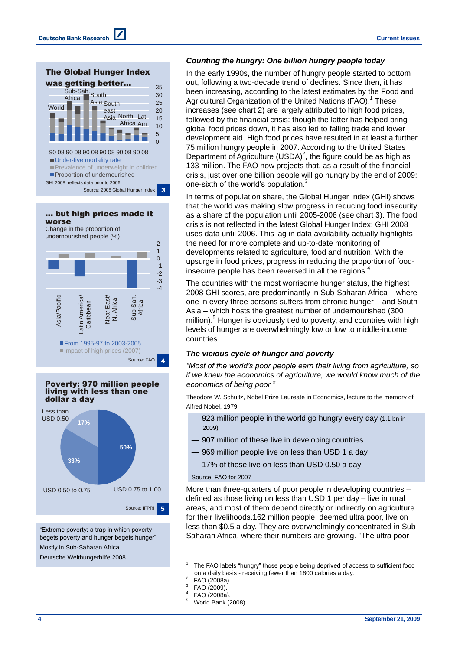$\Omega$ 5 10 15 20 25 30 35 90 08 90 08 90 08 90 08 90 08 90 08 **Under-five mortality rate Prevalence of underweight in children Proportion of undernourished World** Sub-Sah.<br>Africa **Next South** Asia Southeast Asia North Lat Africa Am The Global Hunger Index was getting better... GHI 2008 reflects data prior to 2006 Source: 2008 Global Hunger Index 3

... but high prices made it worse

Change in the proportion of undernourished people (%)





―Extreme poverty: a trap in which poverty begets poverty and hunger begets hunger Mostly in Sub-Saharan Africa Deutsche Welthungerhilfe 2008

#### *Counting the hungry: One billion hungry people today*

In the early 1990s, the number of hungry people started to bottom out, following a two-decade trend of declines. Since then, it has been increasing, according to the latest estimates by the Food and Agricultural Organization of the United Nations (FAO).<sup>1</sup> These increases (see chart 2) are largely attributed to high food prices, followed by the financial crisis: though the latter has helped bring global food prices down, it has also led to falling trade and lower development aid. High food prices have resulted in at least a further 75 million hungry people in 2007. According to the United States Department of Agriculture (USDA)<sup>2</sup>, the figure could be as high as 133 million. The FAO now projects that, as a result of the financial crisis, just over one billion people will go hungry by the end of 2009: one-sixth of the world's population.<sup>3</sup>

In terms of population share, the Global Hunger Index (GHI) shows that the world was making slow progress in reducing food insecurity as a share of the population until 2005-2006 (see chart 3). The food crisis is not reflected in the latest Global Hunger Index: GHI 2008 uses data until 2006. This lag in data availability actually highlights the need for more complete and up-to-date monitoring of developments related to agriculture, food and nutrition. With the upsurge in food prices, progress in reducing the proportion of foodinsecure people has been reversed in all the regions. 4

The countries with the most worrisome hunger status, the highest 2008 GHI scores, are predominantly in Sub-Saharan Africa – where one in every three persons suffers from chronic hunger – and South Asia – which hosts the greatest number of undernourished (300 million). <sup>5</sup> Hunger is obviously tied to poverty, and countries with high levels of hunger are overwhelmingly low or low to middle-income countries.

#### *The vicious cycle of hunger and poverty*

*"Most of the world's poor people earn their living from agriculture, so if we knew the economics of agriculture, we would know much of the economics of being poor."*

Theodore W. Schultz, Nobel Prize Laureate in Economics, lecture to the memory of Alfred Nobel, 1979

- 923 million people in the world go hungry every day (1.1 bn in 2009)
- 907 million of these live in developing countries
- 969 million people live on less than USD 1 a day
- 17% of those live on less than USD 0.50 a day

#### Source: FAO for 2007

More than three-quarters of poor people in developing countries – defined as those living on less than USD 1 per day – live in rural areas, and most of them depend directly or indirectly on agriculture for their livelihoods.162 million people, deemed ultra poor, live on less than \$0.5 a day. They are overwhelmingly concentrated in Sub-Saharan Africa, where their numbers are growing. "The ultra poor

- 4 FAO (2008a).
- World Bank (2008).

<sup>1</sup> The FAO labels "hungry" those people being deprived of access to sufficient food on a daily basis - receiving fewer than 1800 calories a day.  $\overline{2}$ 

FAO (2008a).

<sup>3</sup> FAO (2009).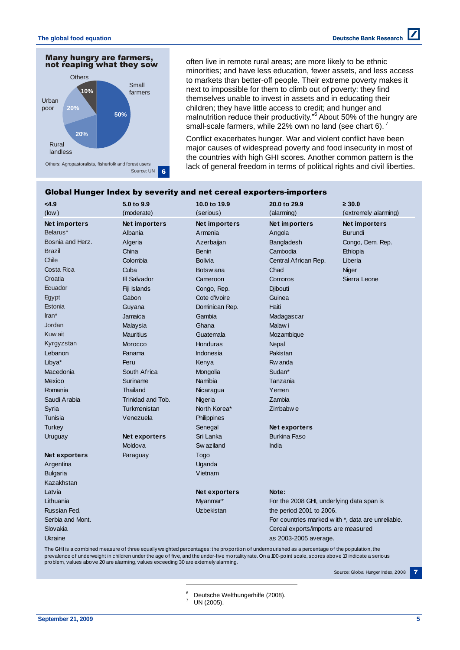

often live in remote rural areas; are more likely to be ethnic minorities; and have less education, fewer assets, and less access to markets than better-off people. Their extreme poverty makes it next to impossible for them to climb out of poverty: they find themselves unable to invest in assets and in educating their children; they have little access to credit; and hunger and malnutrition reduce their productivity.<sup>86</sup> About 50% of the hungry are small-scale farmers, while 22% own no land (see chart 6).

Conflict exacerbates hunger. War and violent conflict have been major causes of widespread poverty and food insecurity in most of the countries with high GHI scores. Another common pattern is the lack of general freedom in terms of political rights and civil liberties.

|                  | Global Hunger Index by severity and net cereal exporters-importers |                      |                                                                                                                                              |                                                   |  |
|------------------|--------------------------------------------------------------------|----------------------|----------------------------------------------------------------------------------------------------------------------------------------------|---------------------------------------------------|--|
| < 4.9            | 5.0 to 9.9                                                         | 10.0 to 19.9         | 20.0 to 29.9                                                                                                                                 | $\geq 30.0$                                       |  |
| $($ low $)$      | (moderate)                                                         | (serious)            | (alarming)                                                                                                                                   | (extremely alarming)                              |  |
| Net importers    | Net importers                                                      | Net importers        | Net importers                                                                                                                                | Net importers                                     |  |
| Belarus*         | Albania                                                            | Armenia              | Angola                                                                                                                                       | <b>Burundi</b>                                    |  |
| Bosnia and Herz. | Algeria                                                            | Azerbaijan           | Bangladesh                                                                                                                                   | Congo, Dem. Rep.                                  |  |
| <b>Brazil</b>    | China                                                              | <b>Benin</b>         | Cambodia                                                                                                                                     | Ethiopia                                          |  |
| Chile            | Colombia                                                           | <b>Bolivia</b>       | Central African Rep.                                                                                                                         | Liberia                                           |  |
| Costa Rica       | Cuba                                                               | Botsw ana            | Chad                                                                                                                                         | Niger                                             |  |
| Croatia          | El Salvador                                                        | Cameroon             | Comoros                                                                                                                                      | Sierra Leone                                      |  |
| Ecuador          | Fiji Islands                                                       | Congo, Rep.          | Djibouti                                                                                                                                     |                                                   |  |
| Egypt            | Gabon                                                              | Cote d'Ivoire        | Guinea                                                                                                                                       |                                                   |  |
| Estonia          | Guyana                                                             | Dominican Rep.       | Haiti                                                                                                                                        |                                                   |  |
| $\text{tran}^*$  | Jamaica                                                            | Gambia               | Madagascar                                                                                                                                   |                                                   |  |
| Jordan           | Malaysia                                                           | Ghana                | Malaw i                                                                                                                                      |                                                   |  |
| Kuw ait          | <b>Mauritius</b>                                                   | Guatemala            | Mozambique                                                                                                                                   |                                                   |  |
| Kyrgyzstan       | Morocco                                                            | Honduras             | Nepal                                                                                                                                        |                                                   |  |
| Lebanon          | Panama                                                             | <b>Indonesia</b>     | Pakistan                                                                                                                                     |                                                   |  |
| Libya*           | Peru                                                               | Kenya                | Rw anda                                                                                                                                      |                                                   |  |
| Macedonia        | South Africa                                                       | Mongolia             | Sudan*                                                                                                                                       |                                                   |  |
| <b>Mexico</b>    | Suriname                                                           | Namibia              | Tanzania                                                                                                                                     |                                                   |  |
| Romania          | <b>Thailand</b>                                                    | Nicaragua            | Yemen                                                                                                                                        |                                                   |  |
| Saudi Arabia     | Trinidad and Tob.                                                  | Nigeria              | Zambia                                                                                                                                       |                                                   |  |
| Syria            | Turkmenistan                                                       | North Korea*         | Zimbabwe                                                                                                                                     |                                                   |  |
| Tunisia          | Venezuela                                                          | Philippines          |                                                                                                                                              |                                                   |  |
| Turkey           |                                                                    | Senegal              | Net exporters                                                                                                                                |                                                   |  |
| Uruguay          | Net exporters                                                      | Sri Lanka            | <b>Burkina Faso</b>                                                                                                                          |                                                   |  |
|                  | Moldova                                                            | Sw aziland           | India                                                                                                                                        |                                                   |  |
| Net exporters    | Paraguay                                                           | Togo                 |                                                                                                                                              |                                                   |  |
| Argentina        |                                                                    | Uganda               |                                                                                                                                              |                                                   |  |
| <b>Bulgaria</b>  |                                                                    | Vietnam              |                                                                                                                                              |                                                   |  |
| Kazakhstan       |                                                                    |                      |                                                                                                                                              |                                                   |  |
| Latvia           |                                                                    | <b>Net exporters</b> | Note:                                                                                                                                        |                                                   |  |
| Lithuania        |                                                                    | Myanmar*             | For the 2008 GHI, underlying data span is                                                                                                    |                                                   |  |
| Russian Fed.     |                                                                    | Uzbekistan           | the period 2001 to 2006.                                                                                                                     |                                                   |  |
| Serbia and Mont. |                                                                    |                      |                                                                                                                                              | For countries marked with *, data are unreliable. |  |
| Slovakia         |                                                                    |                      | Cereal exports/imports are measured                                                                                                          |                                                   |  |
| <b>Ukraine</b>   |                                                                    |                      | as 2003-2005 average.                                                                                                                        |                                                   |  |
|                  |                                                                    |                      | The GHI is a combined measure of three equally weighted percentages: the proportion of undernourished as a percentage of the population, the |                                                   |  |

## Global Hunger Index by severity and net cereal exporters-importers

prevalence of underweight in children under the age of five, and the under-five mortality rate. On a 100-point scale, scores above 10 indicate a serious problem, values above 20 are alarming, values exceeding 30 are extemely alarming.

Source: Global Hunger Index, 2008

<sup>6</sup> Deutsche Welthungerhilfe (2008).

UN (2005).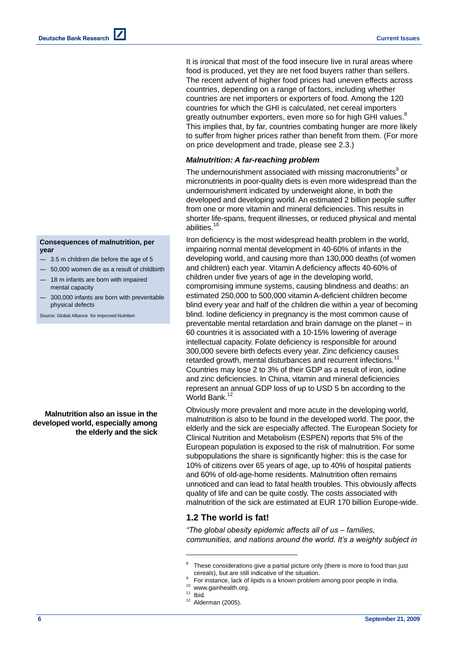It is ironical that most of the food insecure live in rural areas where food is produced, yet they are net food buyers rather than sellers. The recent advent of higher food prices had uneven effects across countries, depending on a range of factors, including whether countries are net importers or exporters of food. Among the 120 countries for which the GHI is calculated, net cereal importers greatly outnumber exporters, even more so for high GHI values.<sup>8</sup> This implies that, by far, countries combating hunger are more likely to suffer from higher prices rather than benefit from them. (For more on price development and trade, please see 2.3.)

#### *Malnutrition: A far-reaching problem*

The undernourishment associated with missing macronutrients<sup>9</sup> or micronutrients in poor-quality diets is even more widespread than the undernourishment indicated by underweight alone, in both the developed and developing world. An estimated 2 billion people suffer from one or more vitamin and mineral deficiencies. This results in shorter life-spans, frequent illnesses, or reduced physical and mental abilities.<sup>10</sup>

Iron deficiency is the most widespread health problem in the world, impairing normal mental development in 40-60% of infants in the developing world, and causing more than 130,000 deaths (of women and children) each year. Vitamin A deficiency affects 40-60% of children under five years of age in the developing world, compromising immune systems, causing blindness and deaths: an estimated 250,000 to 500,000 vitamin A-deficient children become blind every year and half of the children die within a year of becoming blind. Iodine deficiency in pregnancy is the most common cause of preventable mental retardation and brain damage on the planet – in 60 countries it is associated with a 10-15% lowering of average intellectual capacity. Folate deficiency is responsible for around 300,000 severe birth defects every year. Zinc deficiency causes retarded growth, mental disturbances and recurrent infections.<sup>11</sup> Countries may lose 2 to 3% of their GDP as a result of iron, iodine and zinc deficiencies. In China, vitamin and mineral deficiencies represent an annual GDP loss of up to USD 5 bn according to the World Bank.<sup>12</sup>

Obviously more prevalent and more acute in the developing world, malnutrition is also to be found in the developed world. The poor, the elderly and the sick are especially affected. The European Society for Clinical Nutrition and Metabolism (ESPEN) reports that 5% of the European population is exposed to the risk of malnutrition. For some subpopulations the share is significantly higher: this is the case for 10% of citizens over 65 years of age, up to 40% of hospital patients and 60% of old-age-home residents. Malnutrition often remains unnoticed and can lead to fatal health troubles. This obviously affects quality of life and can be quite costly. The costs associated with malnutrition of the sick are estimated at EUR 170 billion Europe-wide.

## **1.2 The world is fat!**

*"The global obesity epidemic affects all of us – families, communities, and nations around the world. It's a weighty subject in* 

l

**Deutsche Bank Research** 

#### **Consequences of malnutrition, per year**

- 3.5 m children die before the age of 5
- 50,000 women die as a result of childbirth
- 18 m infants are born with impaired mental capacity
- 300,000 infants are born with preventable physical defects

Source: Global Alliance for Improved Nutrition

**Malnutrition also an issue in the developed world, especially among the elderly and the sick**

<sup>8</sup> These considerations give a partial picture only (there is more to food than just cereals), but are still indicative of the situation.

<sup>9</sup> For instance, lack of lipids is a known problem among poor people in India.

<sup>&</sup>lt;sup>10</sup> www.gainhealth.org.

 $11$  Ibid.

 $12$  Alderman (2005).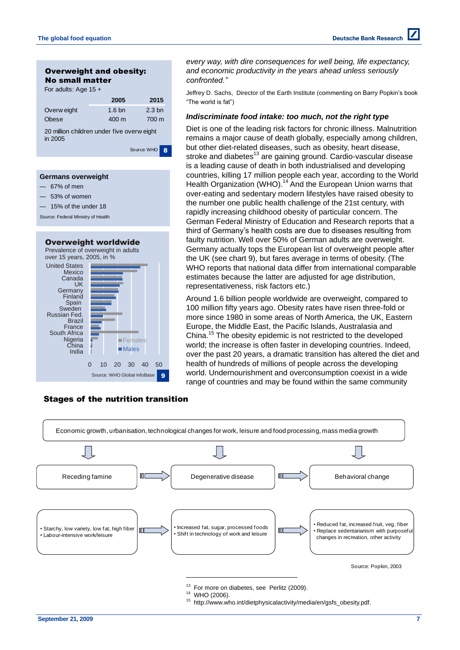

| Germans overweight<br>67% of men<br>53% of women<br>15% of the under 18<br>Source: Federal Ministry of Health                                            |                                                            |
|----------------------------------------------------------------------------------------------------------------------------------------------------------|------------------------------------------------------------|
|                                                                                                                                                          |                                                            |
| over 15 years, 2005, in %<br><b>United States</b><br>Mexico<br>Canada<br>UK<br>Germany<br>Finland<br>Spain<br>Sweden<br>Russian Fed.<br>Brazil<br>France | Overweight worldwide<br>Prevalence of overweight in adults |

India China Nigeria South Africa

## Stages of the nutrition transition

0 10 20 30 40 50

Source: WHO Global InfoBase

**Females** ■Males

*every way, with dire consequences for well being, life expectancy, and economic productivity in the years ahead unless seriously confronted."*

Jeffrey D. Sachs, Director of the Earth Institute (commenting on Barry Popkin's book ―The world is fat‖)

### *Indiscriminate food intake: too much, not the right type*

Diet is one of the leading risk factors for chronic illness. Malnutrition remains a major cause of death globally, especially among children, but other diet-related diseases, such as obesity, heart disease, stroke and diabetes<sup>13</sup> are gaining ground. Cardio-vascular disease is a leading cause of death in both industrialised and developing countries, killing 17 million people each year, according to the World Health Organization (WHO).<sup>14</sup> And the European Union warns that over-eating and sedentary modern lifestyles have raised obesity to the number one public health challenge of the 21st century, with rapidly increasing childhood obesity of particular concern. The German Federal Ministry of Education and Research reports that a third of Germany's health costs are due to diseases resulting from faulty nutrition. Well over 50% of German adults are overweight. Germany actually tops the European list of overweight people after the UK (see chart 9), but fares average in terms of obesity. (The WHO reports that national data differ from international comparable estimates because the latter are adjusted for age distribution, representativeness, risk factors etc.)

Around 1.6 billion people worldwide are overweight, compared to 100 million fifty years ago. Obesity rates have risen three-fold or more since 1980 in some areas of North America, the UK, Eastern Europe, the Middle East, the Pacific Islands, Australasia and China.<sup>15</sup> The obesity epidemic is not restricted to the developed world; the increase is often faster in developing countries. Indeed, over the past 20 years, a dramatic transition has altered the diet and health of hundreds of millions of people across the developing world. Undernourishment and overconsumption coexist in a wide range of countries and may be found within the same community

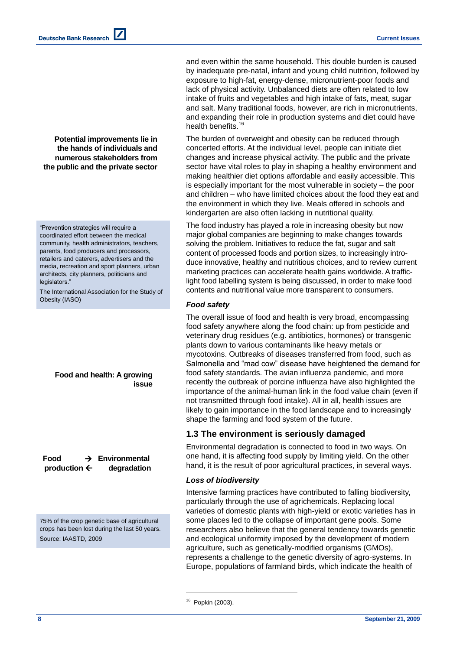**Potential improvements lie in the hands of individuals and numerous stakeholders from the public and the private sector**

―Prevention strategies will require a coordinated effort between the medical community, health administrators, teachers, parents, food producers and processors, retailers and caterers, advertisers and the media, recreation and sport planners, urban architects, city planners, politicians and legislators.

The International Association for the Study of Obesity (IASO)

> **Food and health: A growing issue**

 **Food Environmental production**  $\leftarrow$  degradation

75% of the crop genetic base of agricultural crops has been lost during the last 50 years. Source: IAASTD, 2009

and even within the same household. This double burden is caused by inadequate pre-natal, infant and young child nutrition, followed by exposure to high-fat, energy-dense, micronutrient-poor foods and lack of physical activity. Unbalanced diets are often related to low intake of fruits and vegetables and high intake of fats, meat, sugar and salt. Many traditional foods, however, are rich in micronutrients, and expanding their role in production systems and diet could have health benefits. 16

The burden of overweight and obesity can be reduced through concerted efforts. At the individual level, people can initiate diet changes and increase physical activity. The public and the private sector have vital roles to play in shaping a healthy environment and making healthier diet options affordable and easily accessible. This is especially important for the most vulnerable in society – the poor and children – who have limited choices about the food they eat and the environment in which they live. Meals offered in schools and kindergarten are also often lacking in nutritional quality.

The food industry has played a role in increasing obesity but now major global companies are beginning to make changes towards solving the problem. Initiatives to reduce the fat, sugar and salt content of processed foods and portion sizes, to increasingly introduce innovative, healthy and nutritious choices, and to review current marketing practices can accelerate health gains worldwide. A trafficlight food labelling system is being discussed, in order to make food contents and nutritional value more transparent to consumers.

### *Food safety*

The overall issue of food and health is very broad, encompassing food safety anywhere along the food chain: up from pesticide and veterinary drug residues (e.g. antibiotics, hormones) or transgenic plants down to various contaminants like heavy metals or mycotoxins. Outbreaks of diseases transferred from food, such as Salmonella and "mad cow" disease have heightened the demand for food safety standards. The avian influenza pandemic, and more recently the outbreak of porcine influenza have also highlighted the importance of the animal-human link in the food value chain (even if not transmitted through food intake). All in all, health issues are likely to gain importance in the food landscape and to increasingly shape the farming and food system of the future.

## **1.3 The environment is seriously damaged**

Environmental degradation is connected to food in two ways. On one hand, it is affecting food supply by limiting yield. On the other hand, it is the result of poor agricultural practices, in several ways.

## *Loss of biodiversity*

Intensive farming practices have contributed to falling biodiversity, particularly through the use of agrichemicals. Replacing local varieties of domestic plants with high-yield or exotic varieties has in some places led to the collapse of important gene pools. Some researchers also believe that the general tendency towards genetic and ecological uniformity imposed by the development of modern agriculture, such as genetically-modified organisms (GMOs), represents a challenge to the genetic diversity of agro-systems. In Europe, populations of farmland birds, which indicate the health of

<sup>16</sup> Popkin (2003).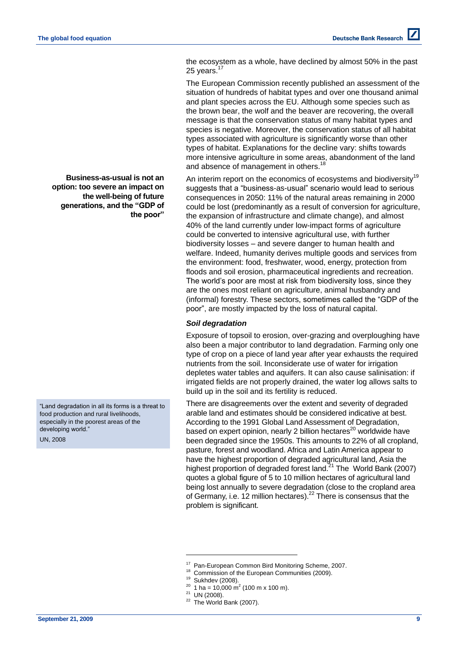the ecosystem as a whole, have declined by almost 50% in the past 25 years.<sup>17</sup>

The European Commission recently published an assessment of the situation of hundreds of habitat types and over one thousand animal and plant species across the EU. Although some species such as the brown bear, the wolf and the beaver are recovering, the overall message is that the conservation status of many habitat types and species is negative. Moreover, the conservation status of all habitat types associated with agriculture is significantly worse than other types of habitat. Explanations for the decline vary: shifts towards more intensive agriculture in some areas, abandonment of the land and absence of management in others.<sup>18</sup>

An interim report on the economics of ecosystems and biodiversity<sup>19</sup> suggests that a "business-as-usual" scenario would lead to serious consequences in 2050: 11% of the natural areas remaining in 2000 could be lost (predominantly as a result of conversion for agriculture, the expansion of infrastructure and climate change), and almost 40% of the land currently under low-impact forms of agriculture could be converted to intensive agricultural use, with further biodiversity losses – and severe danger to human health and welfare. Indeed, humanity derives multiple goods and services from the environment: food, freshwater, wood, energy, protection from floods and soil erosion, pharmaceutical ingredients and recreation. The world's poor are most at risk from biodiversity loss, since they are the ones most reliant on agriculture, animal husbandry and (informal) forestry. These sectors, sometimes called the "GDP of the poor", are mostly impacted by the loss of natural capital.

### *Soil degradation*

Exposure of topsoil to erosion, over-grazing and overploughing have also been a major contributor to land degradation. Farming only one type of crop on a piece of land year after year exhausts the required nutrients from the soil. Inconsiderate use of water for irrigation depletes water tables and aquifers. It can also cause salinisation: if irrigated fields are not properly drained, the water log allows salts to build up in the soil and its fertility is reduced.

There are disagreements over the extent and severity of degraded arable land and estimates should be considered indicative at best. According to the 1991 Global Land Assessment of Degradation, based on expert opinion, nearly 2 billion hectares $^{20}$  worldwide have been degraded since the 1950s. This amounts to 22% of all cropland, pasture, forest and woodland. Africa and Latin America appear to have the highest proportion of degraded agricultural land, Asia the highest proportion of degraded forest land. $^{21}$  The World Bank (2007) quotes a global figure of 5 to 10 million hectares of agricultural land being lost annually to severe degradation (close to the cropland area of Germany, i.e. 12 million hectares).<sup>22</sup> There is consensus that the problem is significant.

l

**Business-as-usual is not an option: too severe an impact on the well-being of future generations, and the "GDP of the poor"**

"Land degradation in all its forms is a threat to food production and rural livelihoods, especially in the poorest areas of the developing world.'

UN, 2008

<sup>17</sup> Pan-European Common Bird Monitoring Scheme, 2007.

Commission of the European Communities (2009).

Sukhdev (2008).

 $^{20}$  1 ha = 10,000 m<sup>2</sup> (100 m x 100 m).

 $21$  UN (2008).

 $22$  The World Bank (2007).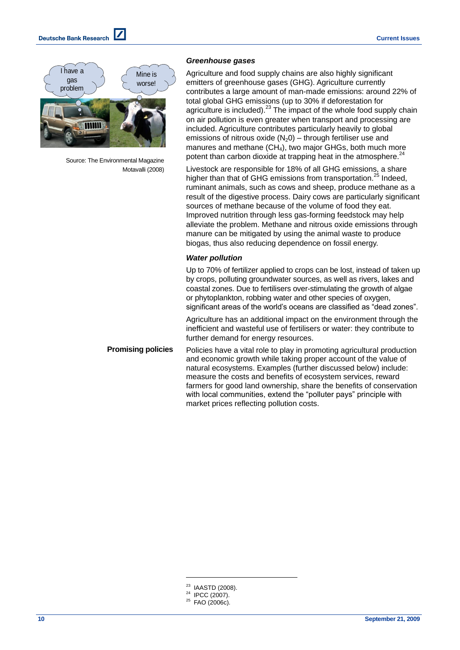

Source: The Environmental Magazine Motavalli (2008)

#### *Greenhouse gases*

Agriculture and food supply chains are also highly significant emitters of greenhouse gases (GHG). Agriculture currently contributes a large amount of man-made emissions: around 22% of total global GHG emissions (up to 30% if deforestation for agriculture is included). $^{23}$  The impact of the whole food supply chain on air pollution is even greater when transport and processing are included. Agriculture contributes particularly heavily to global emissions of nitrous oxide  $(N_2 0)$  – through fertiliser use and manures and methane  $(CH_4)$ , two major GHGs, both much more potent than carbon dioxide at trapping heat in the atmosphere.<sup>24</sup>

Livestock are responsible for 18% of all GHG emissions, a share higher than that of GHG emissions from transportation.<sup>25</sup> Indeed, ruminant animals, such as cows and sheep, produce methane as a result of the digestive process. Dairy cows are particularly significant sources of methane because of the volume of food they eat. Improved nutrition through less gas-forming feedstock may help alleviate the problem. Methane and nitrous oxide emissions through manure can be mitigated by using the animal waste to produce biogas, thus also reducing dependence on fossil energy.

## *Water pollution*

Up to 70% of fertilizer applied to crops can be lost, instead of taken up by crops, polluting groundwater sources, as well as rivers, lakes and coastal zones. Due to fertilisers over-stimulating the growth of algae or phytoplankton, robbing water and other species of oxygen, significant areas of the world's oceans are classified as "dead zones".

Agriculture has an additional impact on the environment through the inefficient and wasteful use of fertilisers or water: they contribute to further demand for energy resources.

Policies have a vital role to play in promoting agricultural production and economic growth while taking proper account of the value of natural ecosystems. Examples (further discussed below) include: measure the costs and benefits of ecosystem services, reward farmers for good land ownership, share the benefits of conservation with local communities, extend the "polluter pays" principle with market prices reflecting pollution costs. **Promising policies**

- <sup>23</sup> IAASTD (2008).
- <sup>24</sup> IPCC (2007).
- <sup>25</sup> FAO (2006c).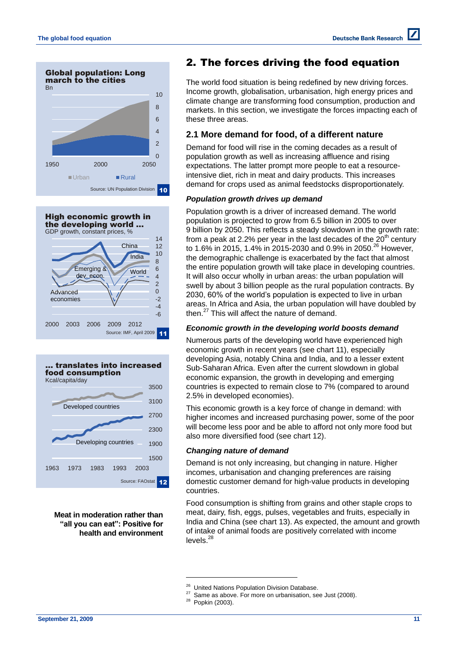





**Meat in moderation rather than "all you can eat": Positive for health and environment**

# 2. The forces driving the food equation

The world food situation is being redefined by new driving forces. Income growth, globalisation, urbanisation, high energy prices and climate change are transforming food consumption, production and markets. In this section, we investigate the forces impacting each of these three areas.

## **2.1 More demand for food, of a different nature**

Demand for food will rise in the coming decades as a result of population growth as well as increasing affluence and rising expectations. The latter prompt more people to eat a resourceintensive diet, rich in meat and dairy products. This increases demand for crops used as animal feedstocks disproportionately.

## *Population growth drives up demand*

Population growth is a driver of increased demand. The world population is projected to grow from 6.5 billion in 2005 to over 9 billion by 2050. This reflects a steady slowdown in the growth rate: from a peak at 2.2% per year in the last decades of the  $20<sup>th</sup>$  century to 1.6% in 2015, 1.4% in 2015-2030 and 0.9% in 2050. <sup>26</sup> However, the demographic challenge is exacerbated by the fact that almost the entire population growth will take place in developing countries. It will also occur wholly in urban areas: the urban population will swell by about 3 billion people as the rural population contracts. By 2030, 60% of the world's population is expected to live in urban areas. In Africa and Asia, the urban population will have doubled by then. <sup>27</sup> This will affect the nature of demand.

## *Economic growth in the developing world boosts demand*

Numerous parts of the developing world have experienced high economic growth in recent years (see chart 11), especially developing Asia, notably China and India, and to a lesser extent Sub-Saharan Africa. Even after the current slowdown in global economic expansion, the growth in developing and emerging countries is expected to remain close to 7% (compared to around 2.5% in developed economies).

This economic growth is a key force of change in demand: with higher incomes and increased purchasing power, some of the poor will become less poor and be able to afford not only more food but also more diversified food (see chart 12).

## *Changing nature of demand*

Demand is not only increasing, but changing in nature. Higher incomes, urbanisation and changing preferences are raising domestic customer demand for high-value products in developing countries.

Food consumption is shifting from grains and other staple crops to meat, dairy, fish, eggs, pulses, vegetables and fruits, especially in India and China (see chart 13). As expected, the amount and growth of intake of animal foods are positively correlated with income levels.<sup>28</sup>

<sup>&</sup>lt;sup>26</sup> United Nations Population Division Database.<br><sup>27</sup> Same as shaus. For more an urbanisation, as

Same as above. For more on urbanisation, see Just (2008).

<sup>28</sup> Popkin (2003).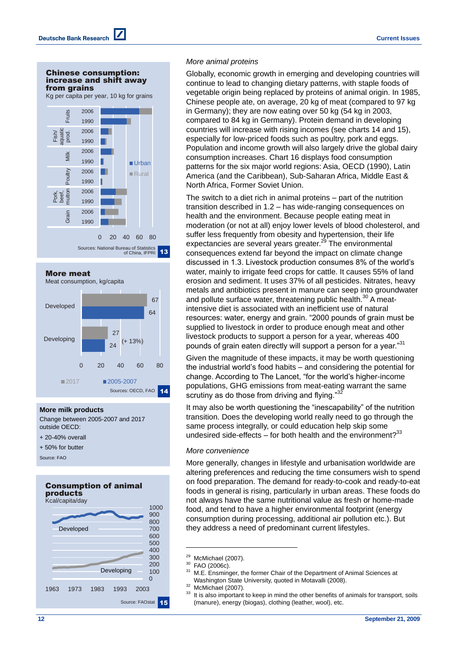#### Chinese consumption: increase and shift away from grains

Kg per capita per year, 10 kg for grains





#### **More milk products**

Change between 2005-2007 and 2017 outside OECD:

- + 20-40% overall
- + 50% for butter

Source: FAO







#### *More animal proteins*

Globally, economic growth in emerging and developing countries will continue to lead to changing dietary patterns, with staple foods of vegetable origin being replaced by proteins of animal origin. In 1985, Chinese people ate, on average, 20 kg of meat (compared to 97 kg in Germany); they are now eating over 50 kg (54 kg in 2003, compared to 84 kg in Germany). Protein demand in developing countries will increase with rising incomes (see charts 14 and 15), especially for low-priced foods such as poultry, pork and eggs. Population and income growth will also largely drive the global dairy consumption increases. Chart 16 displays food consumption patterns for the six major world regions: Asia, OECD (1990), Latin America (and the Caribbean), Sub-Saharan Africa, Middle East & North Africa, Former Soviet Union.

The switch to a diet rich in animal proteins – part of the nutrition transition described in 1.2 – has wide-ranging consequences on health and the environment. Because people eating meat in moderation (or not at all) enjoy lower levels of blood cholesterol, and suffer less frequently from obesity and hypertension, their life expectancies are several years greater.<sup>29</sup> The environmental consequences extend far beyond the impact on climate change discussed in 1.3. Livestock production consumes 8% of the world's water, mainly to irrigate feed crops for cattle. It causes 55% of land erosion and sediment. It uses 37% of all pesticides. Nitrates, heavy metals and antibiotics present in manure can seep into groundwater and pollute surface water, threatening public health.<sup>30</sup> A meatintensive diet is associated with an inefficient use of natural resources: water, energy and grain. "2000 pounds of grain must be supplied to livestock in order to produce enough meat and other livestock products to support a person for a year, whereas 400 pounds of grain eaten directly will support a person for a year."31

Given the magnitude of these impacts, it may be worth questioning the industrial world's food habits – and considering the potential for change. According to The Lancet, "for the world's higher-income populations, GHG emissions from meat-eating warrant the same scrutiny as do those from driving and flying."<sup>3</sup>

It may also be worth questioning the "inescapability" of the nutrition transition. Does the developing world really need to go through the same process integrally, or could education help skip some undesired side-effects  $-$  for both health and the environment?<sup>33</sup>

#### *More convenience*

More generally, changes in lifestyle and urbanisation worldwide are altering preferences and reducing the time consumers wish to spend on food preparation. The demand for ready-to-cook and ready-to-eat foods in general is rising, particularly in urban areas. These foods do not always have the same nutritional value as fresh or home-made food, and tend to have a higher environmental footprint (energy consumption during processing, additional air pollution etc.). But they address a need of predominant current lifestyles.

<sup>&</sup>lt;sup>29</sup> McMichael (2007).<br><sup>30</sup> FAO (2006s)

 $^{30}$  FAO (2006c).

M.E. Ensminger, the former Chair of the Department of Animal Sciences at Washington State University, quoted in Motavalli (2008). <sup>32</sup> McMichael (2007).

It is also important to keep in mind the other benefits of animals for transport, soils (manure), energy (biogas), clothing (leather, wool), etc.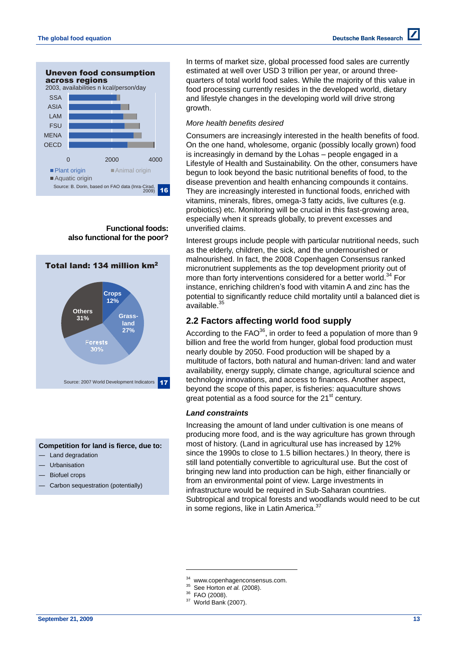

**Functional foods: also functional for the poor?**



### **Competition for land is fierce, due to:**

- Land degradation
- **Urbanisation**
- Biofuel crops
- Carbon sequestration (potentially)

In terms of market size, global processed food sales are currently estimated at well over USD 3 trillion per year, or around threequarters of total world food sales. While the majority of this value in food processing currently resides in the developed world, dietary and lifestyle changes in the developing world will drive strong growth.

#### *More health benefits desired*

Consumers are increasingly interested in the health benefits of food. On the one hand, wholesome, organic (possibly locally grown) food is increasingly in demand by the Lohas – people engaged in a Lifestyle of Health and Sustainability. On the other, consumers have begun to look beyond the basic nutritional benefits of food, to the disease prevention and health enhancing compounds it contains. They are increasingly interested in functional foods, enriched with vitamins, minerals, fibres, omega-3 fatty acids, live cultures (e.g. probiotics) etc. Monitoring will be crucial in this fast-growing area, especially when it spreads globally, to prevent excesses and unverified claims.

Interest groups include people with particular nutritional needs, such as the elderly, children, the sick, and the undernourished or malnourished. In fact, the 2008 Copenhagen Consensus ranked micronutrient supplements as the top development priority out of more than forty interventions considered for a better world.<sup>34</sup> For instance, enriching children's food with vitamin A and zinc has the potential to significantly reduce child mortality until a balanced diet is .<br>available.<sup>35</sup>

## **2.2 Factors affecting world food supply**

According to the  $FAO^{36}$ , in order to feed a population of more than 9 billion and free the world from hunger, global food production must nearly double by 2050. Food production will be shaped by a multitude of factors, both natural and human-driven: land and water availability, energy supply, climate change, agricultural science and technology innovations, and access to finances. Another aspect, beyond the scope of this paper, is fisheries: aquaculture shows great potential as a food source for the  $21<sup>st</sup>$  century.

#### *Land constraints*

Increasing the amount of land under cultivation is one means of producing more food, and is the way agriculture has grown through most of history. (Land in agricultural use has increased by 12% since the 1990s to close to 1.5 billion hectares.) In theory, there is still land potentially convertible to agricultural use. But the cost of bringing new land into production can be high, either financially or from an environmental point of view. Large investments in infrastructure would be required in Sub-Saharan countries. Subtropical and tropical forests and woodlands would need to be cut in some regions, like in Latin America.<sup>37</sup>

- <sup>35</sup> See Horton *et al.* (2008).
- FAO (2008).

<sup>&</sup>lt;sup>34</sup> www.copenhagenconsensus.com.

 $37$  World Bank (2007).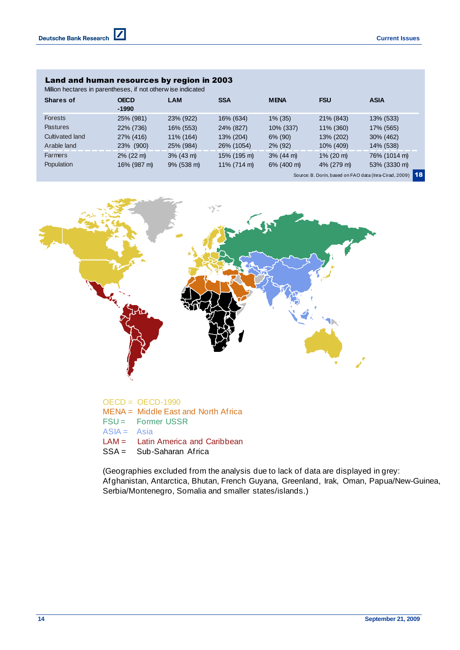### Land and human resources by region in 2003

 $\boldsymbol{Z}$ 

| Land and human resources by region in 2003<br>Million hectares in parentheses, if not otherw ise indicated |                        |               |                |              |              |                                                           |
|------------------------------------------------------------------------------------------------------------|------------------------|---------------|----------------|--------------|--------------|-----------------------------------------------------------|
| Shares of                                                                                                  | <b>OECD</b><br>$-1990$ | <b>LAM</b>    | <b>SSA</b>     | <b>MENA</b>  | <b>FSU</b>   | <b>ASIA</b>                                               |
| <b>Forests</b>                                                                                             | 25% (981)              | 23% (922)     | 16% (634)      | $1\%$ (35)   | 21% (843)    | 13% (533)                                                 |
| <b>Pastures</b>                                                                                            | 22% (736)              | 16% (553)     | 24% (827)      | 10% (337)    | 11% (360)    | 17% (565)                                                 |
| Cultivated land                                                                                            | 27% (416)              | 11% (164)     | 13% (204)      | 6% (90)      | 13% (202)    | 30% (462)                                                 |
| Arable land                                                                                                | 23% (900)              | 25% (984)     | 26% (1054)     | $2\%$ (92)   | 10% (409)    | 14% (538)                                                 |
| <b>Farmers</b>                                                                                             | $2\%$ (22 m)           | $3\%$ (43 m)  | 15% (195 m)    | $3\%$ (44 m) | $1\%$ (20 m) | 76% (1014 m)                                              |
| Population                                                                                                 | 16% (987 m)            | $9\%$ (538 m) | $11\%$ (714 m) | 6% (400 m)   | 4% (279 m)   | 53% (3330 m)                                              |
|                                                                                                            |                        |               |                |              |              | Source: B. Dorin, based on FAO data (Inra-Cirad, 2009) 18 |



**%** OECD = OECD-1990 **%** FSU = Former USSR MENA = Middle East and North Africa  $ASIA = Asia$ LAM = Latin America and Caribbean SSA = Sub-Saharan Africa

(Geographies excluded from the analysis due to lack of data are displayed in grey: Afghanistan, Antarctica, Bhutan, French Guyana, Greenland, Irak, Oman, Papua/New-Guinea, SSA = Sub-Saharan Africa<br>(Geographies excluded from the analysis due to lack of c<br>Afghanistan, Antarctica, Bhutan, French Guyana, Greenla<br>Serbia/Montenegro, Somalia and smaller states/islands.)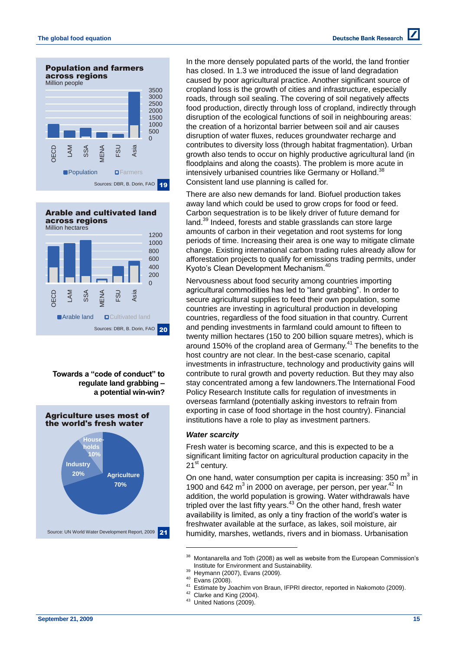

 $\Omega$ 200 400  $600$ 800 1000 1200 OECD LAM SSA MENA FSU Asia **Arable land D**Cultivated land Arable and cultivated land across regions Million hectares Sources: DBR, B. Dorin, FAO 20

**Towards a "code of conduct" to regulate land grabbing – a potential win-win?**



In the more densely populated parts of the world, the land frontier has closed. In 1.3 we introduced the issue of land degradation caused by poor agricultural practice. Another significant source of cropland loss is the growth of cities and infrastructure, especially roads, through soil sealing. The covering of soil negatively affects food production, directly through loss of cropland, indirectly through disruption of the ecological functions of soil in neighbouring areas: the creation of a horizontal barrier between soil and air causes disruption of water fluxes, reduces groundwater recharge and contributes to diversity loss (through habitat fragmentation). Urban growth also tends to occur on highly productive agricultural land (in floodplains and along the coasts). The problem is more acute in intensively urbanised countries like Germany or Holland.<sup>38</sup> Consistent land use planning is called for.

There are also new demands for land. Biofuel production takes away land which could be used to grow crops for food or feed. Carbon sequestration is to be likely driver of future demand for land.<sup>39</sup> Indeed, forests and stable grasslands can store large amounts of carbon in their vegetation and root systems for long periods of time. Increasing their area is one way to mitigate climate change. Existing international carbon trading rules already allow for afforestation projects to qualify for emissions trading permits, under Kyoto's Clean Development Mechanism. 40

Nervousness about food security among countries importing agricultural commodities has led to "land grabbing". In order to secure agricultural supplies to feed their own population, some countries are investing in agricultural production in developing countries, regardless of the food situation in that country. Current and pending investments in farmland could amount to fifteen to twenty million hectares (150 to 200 billion square metres), which is around 150% of the cropland area of Germany.<sup>41</sup> The benefits to the host country are not clear. In the best-case scenario, capital investments in infrastructure, technology and productivity gains will contribute to rural growth and poverty reduction. But they may also stay concentrated among a few landowners.The International Food Policy Research Institute calls for regulation of investments in overseas farmland (potentially asking investors to refrain from exporting in case of food shortage in the host country). Financial institutions have a role to play as investment partners.

#### *Water scarcity*

Fresh water is becoming scarce, and this is expected to be a significant limiting factor on agricultural production capacity in the  $21^{\text{st}}$  century.

On one hand, water consumption per capita is increasing: 350  $m^3$  in 1900 and 642 m<sup>3</sup> in 2000 on average, per person, per year.<sup>42</sup> In addition, the world population is growing. Water withdrawals have tripled over the last fifty years.<sup>43</sup> On the other hand, fresh water availability is limited, as only a tiny fraction of the world's water is freshwater available at the surface, as lakes, soil moisture, air humidity, marshes, wetlands, rivers and in biomass. Urbanisation

 $^{40}$  Evans (2008).

- <sup>41</sup> Estimate by Joachim von Braun, IFPRI director, reported in Nakomoto (2009).
- <sup>42</sup> Clarke and King (2004).
- <sup>43</sup> United Nations (2009).

<sup>&</sup>lt;sup>38</sup> Montanarella and Toth (2008) as well as website from the European Commission's Institute for Environment and Sustainability.

<sup>&</sup>lt;sup>39</sup> Heymann (2007), Evans (2009).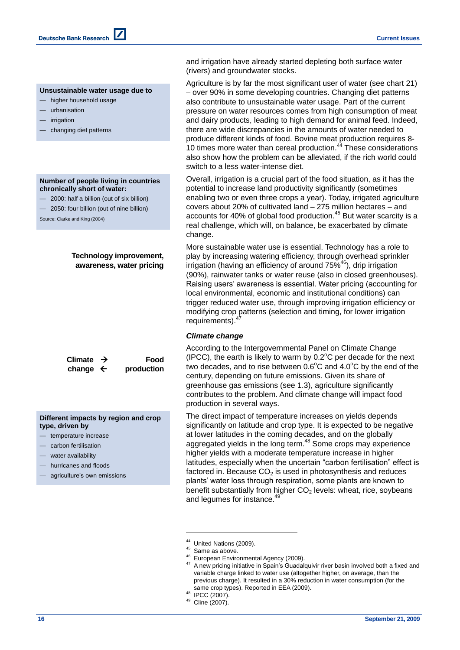#### **Unsustainable water usage due to**

- higher household usage
- urbanisation
- irrigation
- changing diet patterns

#### **Number of people living in countries chronically short of water:**

- 2000: half a billion (out of six billion)
- 2050: four billion (out of nine billion)

Source: Clarke and King (2004)

## **Technology improvement, awareness, water pricing**

| Climate $\rightarrow$ | Food       |
|-----------------------|------------|
| change $\leftarrow$   | production |

**Different impacts by region and crop type, driven by**

- temperature increase
- carbon fertilisation
- water availability
- hurricanes and floods
- agriculture's own emissions

and irrigation have already started depleting both surface water (rivers) and groundwater stocks.

Agriculture is by far the most significant user of water (see chart 21) – over 90% in some developing countries. Changing diet patterns also contribute to unsustainable water usage. Part of the current pressure on water resources comes from high consumption of meat and dairy products, leading to high demand for animal feed. Indeed, there are wide discrepancies in the amounts of water needed to produce different kinds of food. Bovine meat production requires 8- 10 times more water than cereal production.<sup>44</sup> These considerations also show how the problem can be alleviated, if the rich world could switch to a less water-intense diet.

Overall, irrigation is a crucial part of the food situation, as it has the potential to increase land productivity significantly (sometimes enabling two or even three crops a year). Today, irrigated agriculture covers about 20% of cultivated land – 275 million hectares – and accounts for 40% of global food production. <sup>45</sup> But water scarcity is a real challenge, which will, on balance, be exacerbated by climate change.

More sustainable water use is essential. Technology has a role to play by increasing watering efficiency, through overhead sprinkler irrigation (having an efficiency of around  $75\%$ <sup>46</sup>), drip irrigation (90%), rainwater tanks or water reuse (also in closed greenhouses). Raising users' awareness is essential. Water pricing (accounting for local environmental, economic and institutional conditions) can trigger reduced water use, through improving irrigation efficiency or modifying crop patterns (selection and timing, for lower irrigation requirements).

### *Climate change*

According to the Intergovernmental Panel on Climate Change (IPCC), the earth is likely to warm by  $0.2^{\circ}$ C per decade for the next two decades, and to rise between  $0.6^{\circ}$ C and  $4.0^{\circ}$ C by the end of the century, depending on future emissions. Given its share of greenhouse gas emissions (see 1.3), agriculture significantly contributes to the problem. And climate change will impact food production in several ways.

The direct impact of temperature increases on yields depends significantly on latitude and crop type. It is expected to be negative at lower latitudes in the coming decades, and on the globally aggregated yields in the long term.<sup>48</sup> Some crops may experience higher yields with a moderate temperature increase in higher latitudes, especially when the uncertain "carbon fertilisation" effect is factored in. Because  $CO<sub>2</sub>$  is used in photosynthesis and reduces plants' water loss through respiration, some plants are known to benefit substantially from higher  $CO<sub>2</sub>$  levels: wheat, rice, soybeans and legumes for instance.<sup>49</sup>

United Nations (2009).

Same as above.

<sup>46</sup> European Environmental Agency (2009).

<sup>&</sup>lt;sup>47</sup> A new pricing initiative in Spain's Guadalquivir river basin involved both a fixed and variable charge linked to water use (altogether higher, on average, than the previous charge). It resulted in a 30% reduction in water consumption (for the same crop types). Reported in EEA (2009).

<sup>48</sup> IPCC (2007).

<sup>49</sup> Cline (2007).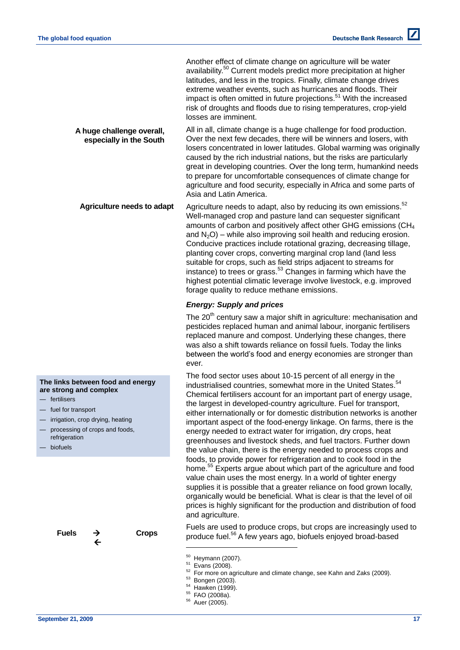Another effect of climate change on agriculture will be water availability. <sup>50</sup> Current models predict more precipitation at higher latitudes, and less in the tropics. Finally, climate change drives extreme weather events, such as hurricanes and floods. Their impact is often omitted in future projections.<sup>51</sup> With the increased risk of droughts and floods due to rising temperatures, crop-yield losses are imminent.

All in all, climate change is a huge challenge for food production. Over the next few decades, there will be winners and losers, with losers concentrated in lower latitudes. Global warming was originally caused by the rich industrial nations, but the risks are particularly great in developing countries. Over the long term, humankind needs to prepare for uncomfortable consequences of climate change for agriculture and food security, especially in Africa and some parts of Asia and Latin America. **A huge challenge overall, especially in the South**

Agriculture needs to adapt, also by reducing its own emissions.<sup>52</sup> Well-managed crop and pasture land can sequester significant amounts of carbon and positively affect other GHG emissions (CH<sup>4</sup> and  $N_2O$ ) – while also improving soil health and reducing erosion. Conducive practices include rotational grazing, decreasing tillage, planting cover crops, converting marginal crop land (land less suitable for crops, such as field strips adjacent to streams for instance) to trees or grass.<sup>53</sup> Changes in farming which have the highest potential climatic leverage involve livestock, e.g. improved forage quality to reduce methane emissions. **Agriculture needs to adapt**

## *Energy: Supply and prices*

The  $20<sup>th</sup>$  century saw a major shift in agriculture: mechanisation and pesticides replaced human and animal labour, inorganic fertilisers replaced manure and compost. Underlying these changes, there was also a shift towards reliance on fossil fuels. Today the links between the world's food and energy economies are stronger than ever.

The food sector uses about 10-15 percent of all energy in the industrialised countries, somewhat more in the United States.<sup>54</sup> Chemical fertilisers account for an important part of energy usage, the largest in developed-country agriculture. Fuel for transport, either internationally or for domestic distribution networks is another important aspect of the food-energy linkage. On farms, there is the energy needed to extract water for irrigation, dry crops, heat greenhouses and livestock sheds, and fuel tractors. Further down the value chain, there is the energy needed to process crops and foods, to provide power for refrigeration and to cook food in the home.<sup>55</sup> Experts argue about which part of the agriculture and food value chain uses the most energy. In a world of tighter energy supplies it is possible that a greater reliance on food grown locally, organically would be beneficial. What is clear is that the level of oil prices is highly significant for the production and distribution of food and agriculture.

Fuels are used to produce crops, but crops are increasingly used to produce fuel. <sup>56</sup> A few years ago, biofuels enjoyed broad-based

l

<sup>55</sup> FAO (2008a).

**The links between food and energy** 

irrigation, crop drying, heating processing of crops and foods,

**Fuels Crops**

 **n**

**are strong and complex**

fertilisers fuel for transport

refrigeration — biofuels

<sup>50</sup> Heymann (2007).

 $\frac{51}{52}$  Evans (2008).

 $52$  For more on agriculture and climate change, see Kahn and Zaks (2009).

Bongen (2003).

<sup>54</sup> Hawken (1999).

<sup>56</sup> Auer (2005).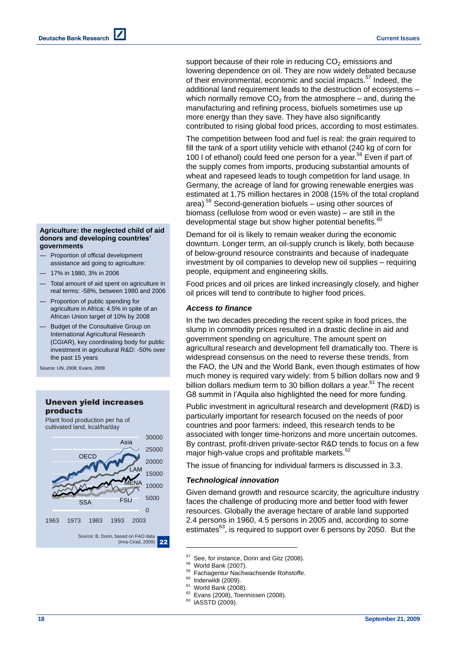support because of their role in reducing  $CO<sub>2</sub>$  emissions and lowering dependence on oil. They are now widely debated because of their environmental, economic and social impacts.<sup>57</sup> Indeed, the additional land requirement leads to the destruction of ecosystems – which normally remove  $CO<sub>2</sub>$  from the atmosphere – and, during the manufacturing and refining process, biofuels sometimes use up more energy than they save. They have also significantly contributed to rising global food prices, according to most estimates.

The competition between food and fuel is real: the grain required to fill the tank of a sport utility vehicle with ethanol (240 kg of corn for 100 l of ethanol) could feed one person for a year. <sup>58</sup> Even if part of the supply comes from imports, producing substantial amounts of wheat and rapeseed leads to tough competition for land usage. In Germany, the acreage of land for growing renewable energies was estimated at 1.75 million hectares in 2008 (15% of the total cropland area). <sup>59</sup> Second-generation biofuels – using other sources of biomass (cellulose from wood or even waste) – are still in the developmental stage but show higher potential benefits.<sup>61</sup>

Demand for oil is likely to remain weaker during the economic downturn. Longer term, an oil-supply crunch is likely, both because of below-ground resource constraints and because of inadequate investment by oil companies to develop new oil supplies – requiring people, equipment and engineering skills.

Food prices and oil prices are linked increasingly closely, and higher oil prices will tend to contribute to higher food prices.

### *Access to finance*

In the two decades preceding the recent spike in food prices, the slump in commodity prices resulted in a drastic decline in aid and government spending on agriculture. The amount spent on agricultural research and development fell dramatically too. There is widespread consensus on the need to reverse these trends, from the FAO, the UN and the World Bank, even though estimates of how much money is required vary widely: from 5 billion dollars now and 9 billion dollars medium term to 30 billion dollars a year.<sup>61</sup> The recent G8 summit in l'Aquila also highlighted the need for more funding.

Public investment in agricultural research and development (R&D) is particularly important for research focused on the needs of poor countries and poor farmers: indeed, this research tends to be associated with longer time-horizons and more uncertain outcomes. By contrast, profit-driven private-sector R&D tends to focus on a few major high-value crops and profitable markets.<sup>62</sup>

The issue of financing for individual farmers is discussed in 3.3.

#### *Technological innovation*

Given demand growth and resource scarcity, the agriculture industry faces the challenge of producing more and better food with fewer resources. Globally the average hectare of arable land supported 2.4 persons in 1960, 4.5 persons in 2005 and, according to some estimates $^{63}$ , is required to support over 6 persons by 2050. But the

l

Inderwildi (2009).

- <sup>62</sup> Evans (2008), Toennissen (2008).
- <sup>63</sup> IASSTD (2009).

#### **Agriculture: the neglected child of aid donors and developing countries' governments**

- Proportion of official development assistance aid going to agriculture:
- 17% in 1980, 3% in 2006
- Total amount of aid spent on agriculture in real terms: -58%, between 1980 and 2006
- Proportion of public spending for agriculture in Africa: 4.5% in spite of an African Union target of 10% by 2008
- Budget of the Consultative Group on International Agricultural Research (CGIAR), key coordinating body for public investment in agricultural R&D: -50% over the past 15 years

Uneven yield increases

Source: UN, 2008; Evans, 2009



 $57$  See, for instance, Dorin and Gitz (2008).

 $^{58}$  World Bank (2007).

<sup>&</sup>lt;sup>59</sup> Fachagentur Nachwachsende Rohstoffe.

 $61$  World Bank (2008).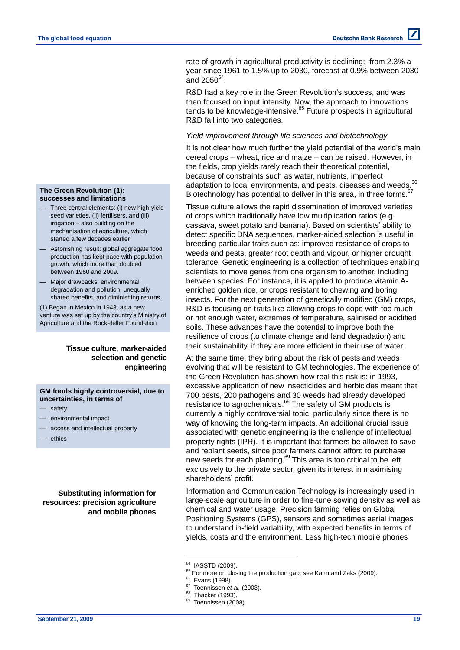rate of growth in agricultural productivity is declining: from 2.3% a year since 1961 to 1.5% up to 2030, forecast at 0.9% between 2030 and  $2050^{64}$ .

R&D had a key role in the Green Revolution's success, and was then focused on input intensity. Now, the approach to innovations tends to be knowledge-intensive.<sup>65</sup> Future prospects in agricultural R&D fall into two categories.

### *Yield improvement through life sciences and biotechnology*

It is not clear how much further the yield potential of the world's main cereal crops – wheat, rice and maize – can be raised. However, in the fields, crop yields rarely reach their theoretical potential, because of constraints such as water, nutrients, imperfect adaptation to local environments, and pests, diseases and weeds. <sup>66</sup> Biotechnology has potential to deliver in this area, in three forms.<sup>67</sup>

Tissue culture allows the rapid dissemination of improved varieties of crops which traditionally have low multiplication ratios (e.g. cassava, sweet potato and banana). Based on scientists' ability to detect specific DNA sequences, marker-aided selection is useful in breeding particular traits such as: improved resistance of crops to weeds and pests, greater root depth and vigour, or higher drought tolerance. Genetic engineering is a collection of techniques enabling scientists to move genes from one organism to another, including between species. For instance, it is applied to produce vitamin Aenriched golden rice, or crops resistant to chewing and boring insects. For the next generation of genetically modified (GM) crops, R&D is focusing on traits like allowing crops to cope with too much or not enough water, extremes of temperature, salinised or acidified soils. These advances have the potential to improve both the resilience of crops (to climate change and land degradation) and their sustainability, if they are more efficient in their use of water.

At the same time, they bring about the risk of pests and weeds evolving that will be resistant to GM technologies. The experience of the Green Revolution has shown how real this risk is: in 1993, excessive application of new insecticides and herbicides meant that 700 pests, 200 pathogens and 30 weeds had already developed resistance to agrochemicals.<sup>68</sup> The safety of GM products is currently a highly controversial topic, particularly since there is no way of knowing the long-term impacts. An additional crucial issue associated with genetic engineering is the challenge of intellectual property rights (IPR). It is important that farmers be allowed to save and replant seeds, since poor farmers cannot afford to purchase new seeds for each planting.<sup>69</sup> This area is too critical to be left exclusively to the private sector, given its interest in maximising shareholders' profit.

Information and Communication Technology is increasingly used in large-scale agriculture in order to fine-tune sowing density as well as chemical and water usage. Precision farming relies on Global Positioning Systems (GPS), sensors and sometimes aerial images to understand in-field variability, with expected benefits in terms of yields, costs and the environment. Less high-tech mobile phones

l

Evans (1998).

- <sup>68</sup> Thacker (1993).
- <sup>69</sup> Toennissen (2008).

#### **The Green Revolution (1): successes and limitations**

- Three central elements: (i) new high-yield seed varieties, (ii) fertilisers, and (iii) irrigation – also building on the mechanisation of agriculture, which started a few decades earlier
- Astonishing result: global aggregate food production has kept pace with population growth, which more than doubled between 1960 and 2009.
- Major drawbacks: environmental degradation and pollution, unequally shared benefits, and diminishing returns.

(1) Began in Mexico in 1943, as a new venture was set up by the country's Ministry of Agriculture and the Rockefeller Foundation

### **Tissue culture, marker-aided selection and genetic engineering**

**GM foods highly controversial, due to uncertainties, in terms of**

- safety
- environmental impact
- access and intellectual property
- ethics

**Substituting information for resources: precision agriculture and mobile phones**

<sup>&</sup>lt;sup>64</sup> IASSTD (2009).

 $^{65}$  For more on closing the production gap, see Kahn and Zaks (2009).

<sup>67</sup> Toennissen *et al.* (2003).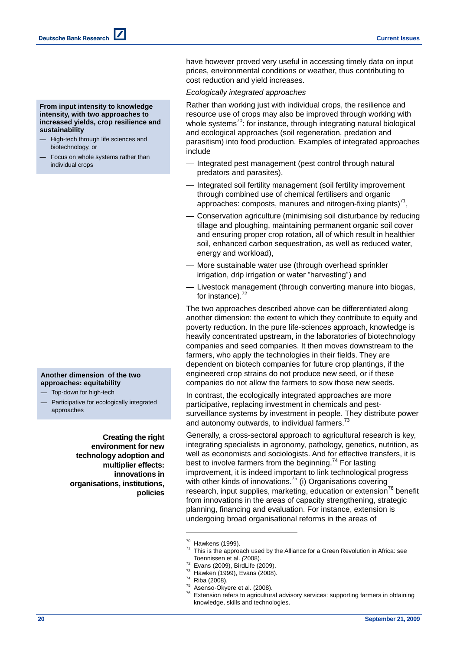have however proved very useful in accessing timely data on input prices, environmental conditions or weather, thus contributing to cost reduction and yield increases.

#### *Ecologically integrated approaches*

Rather than working just with individual crops, the resilience and resource use of crops may also be improved through working with whole systems<sup>70</sup>: for instance, through integrating natural biological and ecological approaches (soil regeneration, predation and parasitism) into food production. Examples of integrated approaches include

- Integrated pest management (pest control through natural predators and parasites),
- Integrated soil fertility management (soil fertility improvement through combined use of chemical fertilisers and organic approaches: composts, manures and nitrogen-fixing plants) $^{71}$ ,
- Conservation agriculture (minimising soil disturbance by reducing tillage and ploughing, maintaining permanent organic soil cover and ensuring proper crop rotation, all of which result in healthier soil, enhanced carbon sequestration, as well as reduced water, energy and workload),
- More sustainable water use (through overhead sprinkler irrigation, drip irrigation or water "harvesting") and
- Livestock management (through converting manure into biogas, for instance). $72$

The two approaches described above can be differentiated along another dimension: the extent to which they contribute to equity and poverty reduction. In the pure life-sciences approach, knowledge is heavily concentrated upstream, in the laboratories of biotechnology companies and seed companies. It then moves downstream to the farmers, who apply the technologies in their fields. They are dependent on biotech companies for future crop plantings, if the engineered crop strains do not produce new seed, or if these companies do not allow the farmers to sow those new seeds.

In contrast, the ecologically integrated approaches are more participative, replacing investment in chemicals and pestsurveillance systems by investment in people. They distribute power and autonomy outwards, to individual farmers.<sup>73</sup>

Generally, a cross-sectoral approach to agricultural research is key, integrating specialists in agronomy, pathology, genetics, nutrition, as well as economists and sociologists. And for effective transfers, it is best to involve farmers from the beginning.<sup>74</sup> For lasting improvement, it is indeed important to link technological progress with other kinds of innovations.<sup>75</sup> (i) Organisations covering research, input supplies, marketing, education or extension<sup>76</sup> benefit from innovations in the areas of capacity strengthening, strategic planning, financing and evaluation. For instance, extension is undergoing broad organisational reforms in the areas of

l

- <sup>72</sup> Evans (2009), BirdLife (2009).
- $^{73}$  Hawken (1999), Evans (2008).
- Riba (2008).
- $75$  Asenso-Okyere et al. (2008).

#### **From input intensity to knowledge intensity, with two approaches to increased yields, crop resilience and sustainability**

- High-tech through life sciences and biotechnology, or
- Focus on whole systems rather than individual crops

### **Another dimension of the two approaches: equitability**

- Top-down for high-tech
- Participative for ecologically integrated approaches

**Creating the right environment for new technology adoption and multiplier effects: innovations in organisations, institutions, policies**

 $^{70}$  Hawkens (1999).

This is the approach used by the Alliance for a Green Revolution in Africa: see Toennissen et al. *(*2008).

Extension refers to agricultural advisory services: supporting farmers in obtaining knowledge, skills and technologies.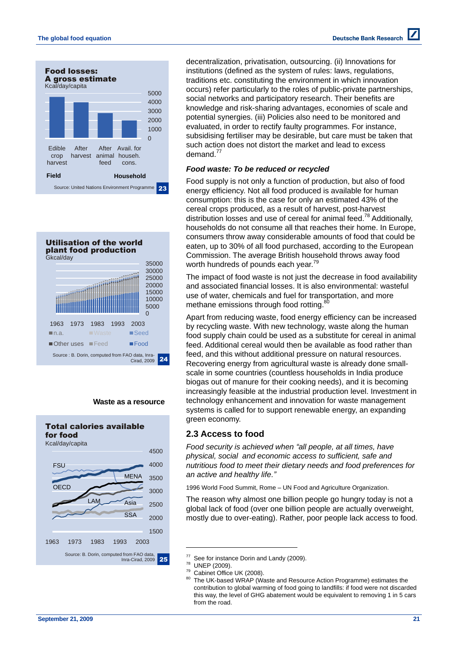



### **Waste as a resource**



decentralization, privatisation, outsourcing. (ii) Innovations for institutions (defined as the system of rules: laws, regulations, traditions etc. constituting the environment in which innovation occurs) refer particularly to the roles of public-private partnerships, social networks and participatory research. Their benefits are knowledge and risk-sharing advantages, economies of scale and potential synergies. (iii) Policies also need to be monitored and evaluated, in order to rectify faulty programmes. For instance, subsidising fertiliser may be desirable, but care must be taken that such action does not distort the market and lead to excess demand.<sup>77</sup>

## *Food waste: To be reduced or recycled*

Food supply is not only a function of production, but also of food energy efficiency. Not all food produced is available for human consumption: this is the case for only an estimated 43% of the cereal crops produced, as a result of harvest, post-harvest distribution losses and use of cereal for animal feed.<sup>78</sup> Additionally, households do not consume all that reaches their home. In Europe, consumers throw away considerable amounts of food that could be eaten, up to 30% of all food purchased, according to the European Commission. The average British household throws away food worth hundreds of pounds each year.<sup>79</sup>

The impact of food waste is not just the decrease in food availability and associated financial losses. It is also environmental: wasteful use of water, chemicals and fuel for transportation, and more methane emissions through food rotting.<sup>80</sup>

Apart from reducing waste, food energy efficiency can be increased by recycling waste. With new technology, waste along the human food supply chain could be used as a substitute for cereal in animal feed. Additional cereal would then be available as food rather than feed, and this without additional pressure on natural resources. Recovering energy from agricultural waste is already done smallscale in some countries (countless households in India produce biogas out of manure for their cooking needs), and it is becoming increasingly feasible at the industrial production level. Investment in technology enhancement and innovation for waste management systems is called for to support renewable energy, an expanding green economy.

## **2.3 Access to food**

*Food security is achieved when "all people, at all times, have physical, social and economic access to sufficient, safe and nutritious food to meet their dietary needs and food preferences for an active and healthy life."* 

1996 World Food Summit, Rome – UN Food and Agriculture Organization.

The reason why almost one billion people go hungry today is not a global lack of food (over one billion people are actually overweight, mostly due to over-eating). Rather, poor people lack access to food.

 $77$  See for instance Dorin and Landy (2009).

 $^{78}$  UNEP (2009).

 $79$  Cabinet Office UK (2008).

The UK-based WRAP (Waste and Resource Action Programme) estimates the contribution to global warming of food going to landfills: if food were not discarded this way, the level of GHG abatement would be equivalent to removing 1 in 5 cars from the road.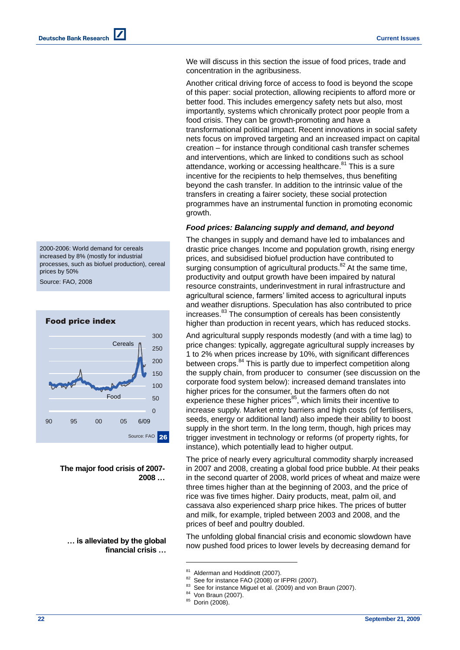2000-2006: World demand for cereals increased by 8% (mostly for industrial processes, such as biofuel production), cereal prices by 50%

Source: FAO, 2008



**The major food crisis of 2007- 2008 …**

## **… is alleviated by the global financial crisis …**

We will discuss in this section the issue of food prices, trade and concentration in the agribusiness.

Another critical driving force of access to food is beyond the scope of this paper: social protection, allowing recipients to afford more or better food. This includes emergency safety nets but also, most importantly, systems which chronically protect poor people from a food crisis. They can be growth-promoting and have a transformational political impact. Recent innovations in social safety nets focus on improved targeting and an increased impact on capital creation – for instance through conditional cash transfer schemes and interventions, which are linked to conditions such as school attendance, working or accessing healthcare.<sup>81</sup> This is a sure incentive for the recipients to help themselves, thus benefiting beyond the cash transfer. In addition to the intrinsic value of the transfers in creating a fairer society, these social protection programmes have an instrumental function in promoting economic growth.

## *Food prices: Balancing supply and demand, and beyond*

The changes in supply and demand have led to imbalances and drastic price changes. Income and population growth, rising energy prices, and subsidised biofuel production have contributed to surging consumption of agricultural products.<sup>82</sup> At the same time, productivity and output growth have been impaired by natural resource constraints, underinvestment in rural infrastructure and agricultural science, farmers' limited access to agricultural inputs and weather disruptions. Speculation has also contributed to price increases. <sup>83</sup> The consumption of cereals has been consistently higher than production in recent years, which has reduced stocks.

And agricultural supply responds modestly (and with a time lag) to price changes: typically, aggregate agricultural supply increases by 1 to 2% when prices increase by 10%, with significant differences between crops.<sup>84</sup> This is partly due to imperfect competition along the supply chain, from producer to consumer (see discussion on the corporate food system below): increased demand translates into higher prices for the consumer, but the farmers often do not experience these higher prices<sup>85</sup>, which limits their incentive to increase supply. Market entry barriers and high costs (of fertilisers, seeds, energy or additional land) also impede their ability to boost supply in the short term. In the long term, though, high prices may trigger investment in technology or reforms (of property rights, for instance), which potentially lead to higher output.

The price of nearly every agricultural commodity sharply increased in 2007 and 2008, creating a global food price bubble. At their peaks in the second quarter of 2008, world prices of wheat and maize were three times higher than at the beginning of 2003, and the price of rice was five times higher. Dairy products, meat, palm oil, and cassava also experienced sharp price hikes. The prices of butter and milk, for example, tripled between 2003 and 2008, and the prices of beef and poultry doubled.

The unfolding global financial crisis and economic slowdown have now pushed food prices to lower levels by decreasing demand for

 $^{81}$  Alderman and Hoddinott (2007).

 $82$  See for instance FAO (2008) or IFPRI (2007).

See for instance Miguel et al. (2009) and von Braun (2007).

<sup>84</sup> Von Braun (2007).

<sup>85</sup> Dorin (2008).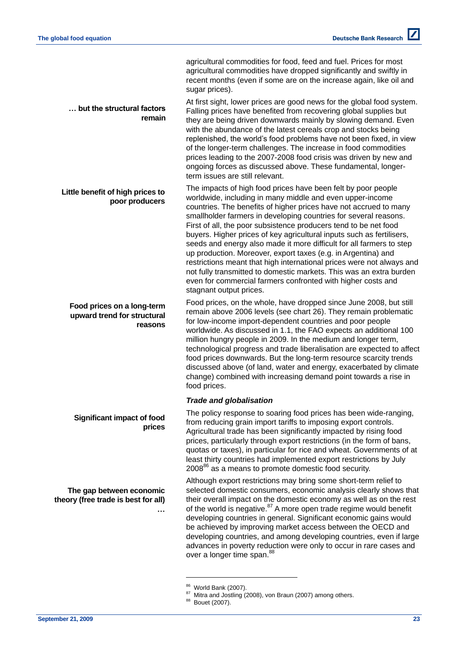**Food prices on a long-term upward trend for structural** 

**The gap between economic theory (free trade is best for all)**

**Significant impact of food** 

**Little benefit of high prices to** 

**… but the structural factors** 

**poor producers**

**remain**

**reasons**

**prices**

agricultural commodities for food, feed and fuel. Prices for most agricultural commodities have dropped significantly and swiftly in recent months (even if some are on the increase again, like oil and sugar prices).

At first sight, lower prices are good news for the global food system. Falling prices have benefited from recovering global supplies but they are being driven downwards mainly by slowing demand. Even with the abundance of the latest cereals crop and stocks being replenished, the world's food problems have not been fixed, in view of the longer-term challenges. The increase in food commodities prices leading to the 2007-2008 food crisis was driven by new and ongoing forces as discussed above. These fundamental, longerterm issues are still relevant.

The impacts of high food prices have been felt by poor people worldwide, including in many middle and even upper-income countries. The benefits of higher prices have not accrued to many smallholder farmers in developing countries for several reasons. First of all, the poor subsistence producers tend to be net food buyers. Higher prices of key agricultural inputs such as fertilisers, seeds and energy also made it more difficult for all farmers to step up production. Moreover, export taxes (e.g. in Argentina) and restrictions meant that high international prices were not always and not fully transmitted to domestic markets. This was an extra burden even for commercial farmers confronted with higher costs and stagnant output prices.

Food prices, on the whole, have dropped since June 2008, but still remain above 2006 levels (see chart 26). They remain problematic for low-income import-dependent countries and poor people worldwide. As discussed in 1.1, the FAO expects an additional 100 million hungry people in 2009. In the medium and longer term, technological progress and trade liberalisation are expected to affect food prices downwards. But the long-term resource scarcity trends discussed above (of land, water and energy, exacerbated by climate change) combined with increasing demand point towards a rise in food prices.

## *Trade and globalisation*

The policy response to soaring food prices has been wide-ranging, from reducing grain import tariffs to imposing export controls. Agricultural trade has been significantly impacted by rising food prices, particularly through export restrictions (in the form of bans, quotas or taxes), in particular for rice and wheat. Governments of at least thirty countries had implemented export restrictions by July  $2008^{86}$  as a means to promote domestic food security.

Although export restrictions may bring some short-term relief to selected domestic consumers, economic analysis clearly shows that their overall impact on the domestic economy as well as on the rest of the world is negative.<sup>87</sup> A more open trade regime would benefit developing countries in general. Significant economic gains would be achieved by improving market access between the OECD and developing countries, and among developing countries, even if large advances in poverty reduction were only to occur in rare cases and over a longer time span.<sup>88</sup>

l

**…**

<sup>86</sup> World Bank (2007).

<sup>87</sup> Mitra and Jostling (2008), von Braun (2007) among others.

<sup>88</sup> Bouet (2007).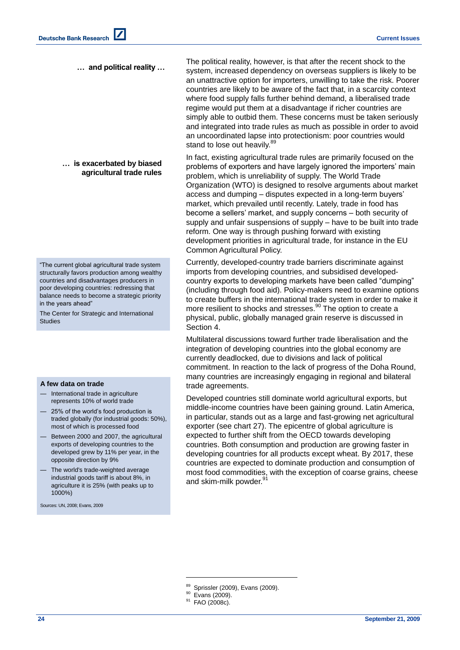#### **… and political reality …**

### **… is exacerbated by biased agricultural trade rules**

―The current global agricultural trade system structurally favors production among wealthy countries and disadvantages producers in poor developing countries: redressing that balance needs to become a strategic priority in the years ahead"

The Center for Strategic and International **Studies** 

#### **A few data on trade**

- International trade in agriculture represents 10% of world trade
- 25% of the world's food production is traded globally (for industrial goods: 50%), most of which is processed food
- Between 2000 and 2007, the agricultural exports of developing countries to the developed grew by 11% per year, in the opposite direction by 9%
- The world's trade-weighted average industrial goods tariff is about 8%, in agriculture it is 25% (with peaks up to 1000%)

Sources: UN, 2008; Evans, 2009

The political reality, however, is that after the recent shock to the system, increased dependency on overseas suppliers is likely to be an unattractive option for importers, unwilling to take the risk. Poorer countries are likely to be aware of the fact that, in a scarcity context where food supply falls further behind demand, a liberalised trade regime would put them at a disadvantage if richer countries are simply able to outbid them. These concerns must be taken seriously and integrated into trade rules as much as possible in order to avoid an uncoordinated lapse into protectionism: poor countries would stand to lose out heavily.<sup>89</sup>

In fact, existing agricultural trade rules are primarily focused on the problems of exporters and have largely ignored the importers' main problem, which is unreliability of supply. The World Trade Organization (WTO) is designed to resolve arguments about market access and dumping – disputes expected in a long-term buyers' market, which prevailed until recently. Lately, trade in food has become a sellers' market, and supply concerns – both security of supply and unfair suspensions of supply – have to be built into trade reform. One way is through pushing forward with existing development priorities in agricultural trade, for instance in the EU Common Agricultural Policy.

Currently, developed-country trade barriers discriminate against imports from developing countries, and subsidised developedcountry exports to developing markets have been called "dumping" (including through food aid). Policy-makers need to examine options to create buffers in the international trade system in order to make it more resilient to shocks and stresses. <sup>90</sup> The option to create a physical, public, globally managed grain reserve is discussed in Section 4.

Multilateral discussions toward further trade liberalisation and the integration of developing countries into the global economy are currently deadlocked, due to divisions and lack of political commitment. In reaction to the lack of progress of the Doha Round, many countries are increasingly engaging in regional and bilateral trade agreements.

Developed countries still dominate world agricultural exports, but middle-income countries have been gaining ground. Latin America, in particular, stands out as a large and fast-growing net agricultural exporter (see chart 27). The epicentre of global agriculture is expected to further shift from the OECD towards developing countries. Both consumption and production are growing faster in developing countries for all products except wheat. By 2017, these countries are expected to dominate production and consumption of most food commodities, with the exception of coarse grains, cheese and older  $\frac{91}{2}$ and skim-milk powder.

<sup>89</sup> Sprissler (2009), Evans (2009).

<sup>&</sup>lt;sup>90</sup> Evans (2009).

<sup>&</sup>lt;sup>91</sup> FAO (2008c).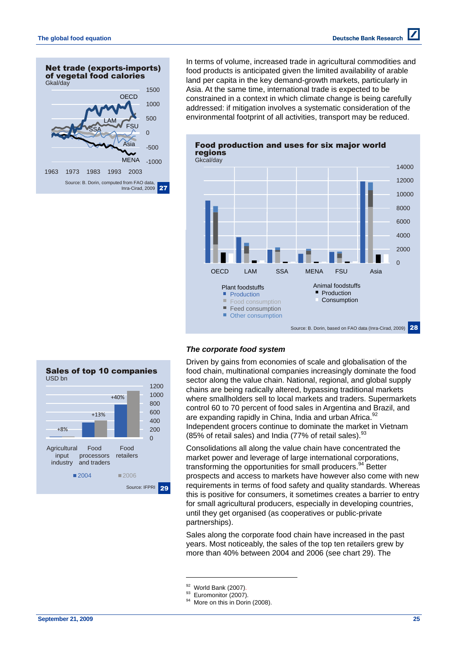

In terms of volume, increased trade in agricultural commodities and food products is anticipated given the limited availability of arable land per capita in the key demand-growth markets, particularly in Asia. At the same time, international trade is expected to be constrained in a context in which climate change is being carefully addressed: if mitigation involves a systematic consideration of the environmental footprint of all activities, transport may be reduced.



## *The corporate food system*

Driven by gains from economies of scale and globalisation of the food chain, multinational companies increasingly dominate the food sector along the value chain. National, regional, and global supply chains are being radically altered, bypassing traditional markets where smallholders sell to local markets and traders. Supermarkets control 60 to 70 percent of food sales in Argentina and Brazil, and are expanding rapidly in China, India and urban Africa.<sup>92</sup> Independent grocers continue to dominate the market in Vietnam (85% of retail sales) and India (77% of retail sales). <sup>93</sup>

Consolidations all along the value chain have concentrated the market power and leverage of large international corporations, transforming the opportunities for small producers.<sup>94</sup> Better prospects and access to markets have however also come with new requirements in terms of food safety and quality standards. Whereas this is positive for consumers, it sometimes creates a barrier to entry for small agricultural producers, especially in developing countries, until they get organised (as cooperatives or public-private partnerships).

Sales along the corporate food chain have increased in the past years. Most noticeably, the sales of the top ten retailers grew by more than 40% between 2004 and 2006 (see chart 29). The

l

 $\overline{0}$ 200 400 600 800 1000 1200 **Agricultural** input industry Food processors and traders Food retailers  $2004$   $2006$ +8% +13%  $+40%$ Sales of top 10 companies USD bn

Source: IFPRI 29

## **September 21, 2009 25**

 $92$  World Bank (2007).

<sup>&</sup>lt;sup>93</sup> Euromonitor (2007).

<sup>&</sup>lt;sup>94</sup> More on this in Dorin (2008).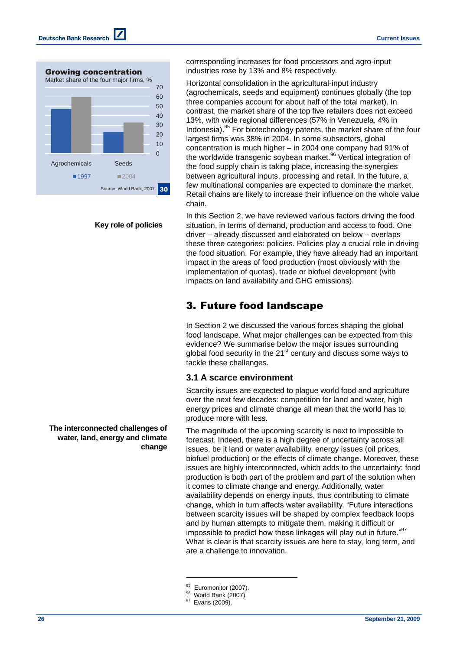

**Key role of policies**

**The interconnected challenges of water, land, energy and climate change**

corresponding increases for food processors and agro-input industries rose by 13% and 8% respectively.

Horizontal consolidation in the agricultural-input industry (agrochemicals, seeds and equipment) continues globally (the top three companies account for about half of the total market). In contrast, the market share of the top five retailers does not exceed 13%, with wide regional differences (57% in Venezuela, 4% in Indonesia). <sup>95</sup> For biotechnology patents, the market share of the four largest firms was 38% in 2004. In some subsectors, global concentration is much higher – in 2004 one company had 91% of the worldwide transgenic soybean market.<sup>96</sup> Vertical integration of the food supply chain is taking place, increasing the synergies between agricultural inputs, processing and retail. In the future, a few multinational companies are expected to dominate the market. Retail chains are likely to increase their influence on the whole value chain.

In this Section 2, we have reviewed various factors driving the food situation, in terms of demand, production and access to food. One driver – already discussed and elaborated on below – overlaps these three categories: policies. Policies play a crucial role in driving the food situation. For example, they have already had an important impact in the areas of food production (most obviously with the implementation of quotas), trade or biofuel development (with impacts on land availability and GHG emissions).

# 3. Future food landscape

In Section 2 we discussed the various forces shaping the global food landscape. What major challenges can be expected from this evidence? We summarise below the major issues surrounding global food security in the  $21<sup>st</sup>$  century and discuss some ways to tackle these challenges.

## **3.1 A scarce environment**

Scarcity issues are expected to plague world food and agriculture over the next few decades: competition for land and water, high energy prices and climate change all mean that the world has to produce more with less.

The magnitude of the upcoming scarcity is next to impossible to forecast. Indeed, there is a high degree of uncertainty across all issues, be it land or water availability, energy issues (oil prices, biofuel production) or the effects of climate change. Moreover, these issues are highly interconnected, which adds to the uncertainty: food production is both part of the problem and part of the solution when it comes to climate change and energy. Additionally, water availability depends on energy inputs, thus contributing to climate change, which in turn affects water availability. "Future interactions between scarcity issues will be shaped by complex feedback loops and by human attempts to mitigate them, making it difficult or impossible to predict how these linkages will play out in future." $97$ What is clear is that scarcity issues are here to stay, long term, and are a challenge to innovation.

<sup>&</sup>lt;sup>95</sup> Euromonitor (2007).

World Bank (2007).

<sup>&</sup>lt;sup>97</sup> Evans (2009).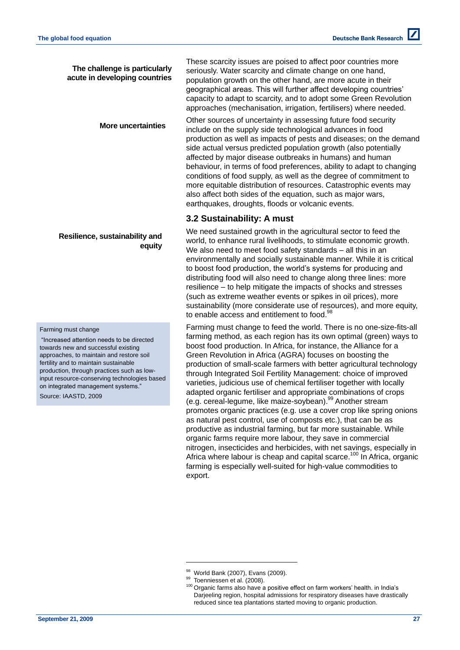## **The challenge is particularly acute in developing countries**

These scarcity issues are poised to affect poor countries more seriously. Water scarcity and climate change on one hand, population growth on the other hand, are more acute in their geographical areas. This will further affect developing countries' capacity to adapt to scarcity, and to adopt some Green Revolution approaches (mechanisation, irrigation, fertilisers) where needed.

Other sources of uncertainty in assessing future food security include on the supply side technological advances in food production as well as impacts of pests and diseases; on the demand side actual versus predicted population growth (also potentially affected by major disease outbreaks in humans) and human behaviour, in terms of food preferences, ability to adapt to changing conditions of food supply, as well as the degree of commitment to more equitable distribution of resources. Catastrophic events may also affect both sides of the equation, such as major wars, earthquakes, droughts, floods or volcanic events. **More uncertainties**

## **3.2 Sustainability: A must**

We need sustained growth in the agricultural sector to feed the world, to enhance rural livelihoods, to stimulate economic growth. We also need to meet food safety standards – all this in an environmentally and socially sustainable manner. While it is critical to boost food production, the world's systems for producing and distributing food will also need to change along three lines: more resilience – to help mitigate the impacts of shocks and stresses (such as extreme weather events or spikes in oil prices), more sustainability (more considerate use of resources), and more equity, to enable access and entitlement to food.<sup>98</sup>

Farming must change to feed the world. There is no one-size-fits-all farming method, as each region has its own optimal (green) ways to boost food production. In Africa, for instance, the Alliance for a Green Revolution in Africa (AGRA) focuses on boosting the production of small-scale farmers with better agricultural technology through Integrated Soil Fertility Management: choice of improved varieties, judicious use of chemical fertiliser together with locally adapted organic fertiliser and appropriate combinations of crops (e.g. cereal-legume, like maize-soybean). <sup>99</sup> Another stream promotes organic practices (e.g. use a cover crop like spring onions as natural pest control, use of composts etc.), that can be as productive as industrial farming, but far more sustainable. While organic farms require more labour, they save in commercial nitrogen, insecticides and herbicides, with net savings, especially in Africa where labour is cheap and capital scarce.<sup>100</sup> In Africa, organic farming is especially well-suited for high-value commodities to export.

l

## **Resilience, sustainability and equity**

#### Farming must change

"Increased attention needs to be directed towards new and successful existing approaches, to maintain and restore soil fertility and to maintain sustainable production, through practices such as lowinput resource-conserving technologies based on integrated management systems."

Source: IAASTD, 2009

World Bank (2007), Evans (2009).

<sup>99</sup> Toenniessen et al. (2008).

 $100$  Organic farms also have a positive effect on farm workers' health. in India's Darjeeling region, hospital admissions for respiratory diseases have drastically reduced since tea plantations started moving to organic production.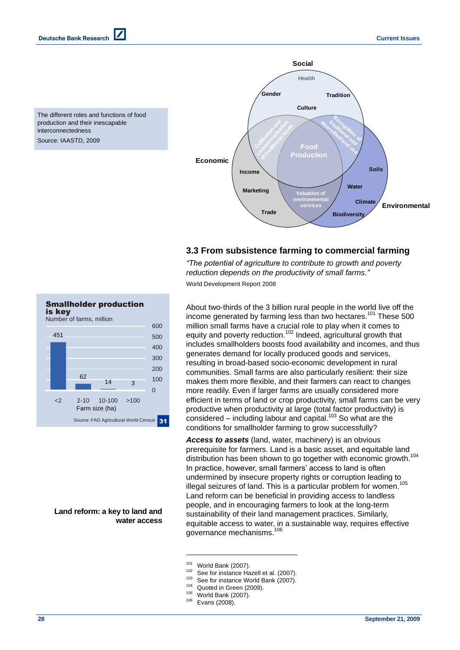The different roles and functions of food production and their inescapable interconnectedness

Source: IAASTD, 2009



## **3.3 From subsistence farming to commercial farming**

*"The potential of agriculture to contribute to growth and poverty reduction depends on the productivity of small farms."* World Development Report 2008

About two-thirds of the 3 billion rural people in the world live off the income generated by farming less than two hectares.<sup>101</sup> These 500 million small farms have a crucial role to play when it comes to equity and poverty reduction.<sup>102</sup> Indeed, agricultural growth that includes smallholders boosts food availability and incomes, and thus generates demand for locally produced goods and services, resulting in broad-based socio-economic development in rural communities. Small farms are also particularly resilient: their size makes them more flexible, and their farmers can react to changes more readily. Even if larger farms are usually considered more efficient in terms of land or crop productivity, small farms can be very productive when productivity at large (total factor productivity) is considered – including labour and capital.<sup>103</sup> So what are the conditions for smallholder farming to grow successfully?

*Access to assets* (land, water, machinery) is an obvious prerequisite for farmers. Land is a basic asset, and equitable land distribution has been shown to go together with economic growth.<sup>104</sup> In practice, however, small farmers' access to land is often undermined by insecure property rights or corruption leading to illegal seizures of land. This is a particular problem for women.<sup>105</sup> Land reform can be beneficial in providing access to landless people, and in encouraging farmers to look at the long-term sustainability of their land management practices. Similarly, equitable access to water, in a sustainable way, requires effective governance mechanisms.<sup>106</sup>

- $102$  See for instance Hazell et al. (2007).
	- See for instance World Bank (2007).
- <sup>104</sup> Quoted in Green (2009).
- <sup>105</sup> World Bank (2007).
- <sup>106</sup> Evans (2008).

l

<2 2-10 10-100 >100

Farm size (ha)

 $14 \t3$ 

Source: FAO Agricultural World Census 31

 $\Omega$ 100

**Land reform: a key to land and water access** 

 $^{101}$  World Bank (2007).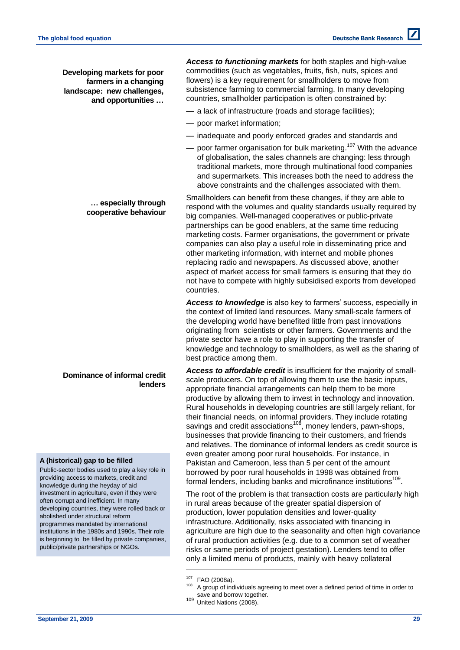**Developing markets for poor farmers in a changing landscape: new challenges, and opportunities …** 

*Access to functioning markets* for both staples and high-value commodities (such as vegetables, fruits, fish, nuts, spices and flowers) is a key requirement for smallholders to move from subsistence farming to commercial farming. In many developing countries, smallholder participation is often constrained by:

- a lack of infrastructure (roads and storage facilities);
- poor market information;
- inadequate and poorly enforced grades and standards and
- $-$  poor farmer organisation for bulk marketing.<sup>107</sup> With the advance of globalisation, the sales channels are changing: less through traditional markets, more through multinational food companies and supermarkets. This increases both the need to address the above constraints and the challenges associated with them.

Smallholders can benefit from these changes, if they are able to respond with the volumes and quality standards usually required by big companies. Well-managed cooperatives or public-private partnerships can be good enablers, at the same time reducing marketing costs. Farmer organisations, the government or private companies can also play a useful role in disseminating price and other marketing information, with internet and mobile phones replacing radio and newspapers. As discussed above, another aspect of market access for small farmers is ensuring that they do not have to compete with highly subsidised exports from developed countries.

*Access to knowledge* is also key to farmers' success, especially in the context of limited land resources. Many small-scale farmers of the developing world have benefited little from past innovations originating from scientists or other farmers. Governments and the private sector have a role to play in supporting the transfer of knowledge and technology to smallholders, as well as the sharing of best practice among them.

*Access to affordable credit* is insufficient for the majority of smallscale producers. On top of allowing them to use the basic inputs, appropriate financial arrangements can help them to be more productive by allowing them to invest in technology and innovation. Rural households in developing countries are still largely reliant, for their financial needs, on informal providers. They include rotating savings and credit associations<sup>108</sup>, money lenders, pawn-shops, businesses that provide financing to their customers, and friends and relatives. The dominance of informal lenders as credit source is even greater among poor rural households. For instance, in Pakistan and Cameroon, less than 5 per cent of the amount borrowed by poor rural households in 1998 was obtained from formal lenders, including banks and microfinance institutions<sup>109</sup>.

The root of the problem is that transaction costs are particularly high in rural areas because of the greater spatial dispersion of production, lower population densities and lower-quality infrastructure. Additionally, risks associated with financing in agriculture are high due to the seasonality and often high covariance of rural production activities (e.g. due to a common set of weather risks or same periods of project gestation). Lenders tend to offer only a limited menu of products, mainly with heavy collateral

l

### **… especially through cooperative behaviour**

## **Dominance of informal credit lenders**

#### **A (historical) gap to be filled**

Public-sector bodies used to play a key role in providing access to markets, credit and knowledge during the heyday of aid investment in agriculture, even if they were often corrupt and inefficient. In many developing countries, they were rolled back or abolished under structural reform programmes mandated by international institutions in the 1980s and 1990s. Their role is beginning to be filled by private companies, public/private partnerships or NGOs.

<sup>107</sup> FAO (2008a).

A group of individuals agreeing to meet over a defined period of time in order to save and borrow together.

<sup>109</sup> United Nations (2008).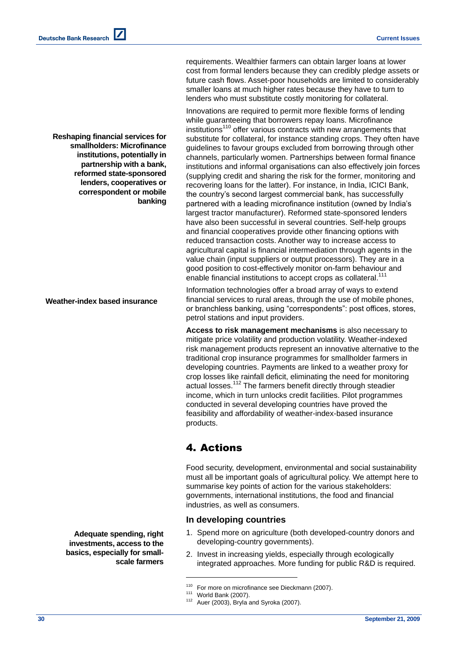requirements. Wealthier farmers can obtain larger loans at lower cost from formal lenders because they can credibly pledge assets or future cash flows. Asset-poor households are limited to considerably smaller loans at much higher rates because they have to turn to lenders who must substitute costly monitoring for collateral.

Innovations are required to permit more flexible forms of lending while guaranteeing that borrowers repay loans. Microfinance institutions<sup>110</sup> offer various contracts with new arrangements that substitute for collateral, for instance standing crops. They often have guidelines to favour groups excluded from borrowing through other channels, particularly women. Partnerships between formal finance institutions and informal organisations can also effectively join forces (supplying credit and sharing the risk for the former, monitoring and recovering loans for the latter). For instance, in India, ICICI Bank, the country's second largest commercial bank, has successfully partnered with a leading microfinance institution (owned by India's largest tractor manufacturer). Reformed state-sponsored lenders have also been successful in several countries. Self-help groups and financial cooperatives provide other financing options with reduced transaction costs. Another way to increase access to agricultural capital is financial intermediation through agents in the value chain (input suppliers or output processors). They are in a good position to cost-effectively monitor on-farm behaviour and enable financial institutions to accept crops as collateral.<sup>111</sup>

Information technologies offer a broad array of ways to extend financial services to rural areas, through the use of mobile phones, or branchless banking, using "correspondents": post offices, stores, petrol stations and input providers.

**Access to risk management mechanisms** is also necessary to mitigate price volatility and production volatility. Weather-indexed risk management products represent an innovative alternative to the traditional crop insurance programmes for smallholder farmers in developing countries. Payments are linked to a weather proxy for crop losses like rainfall deficit, eliminating the need for monitoring actual losses.<sup>112</sup> The farmers benefit directly through steadier income, which in turn unlocks credit facilities. Pilot programmes conducted in several developing countries have proved the feasibility and affordability of weather-index-based insurance products.

# 4. Actions

Food security, development, environmental and social sustainability must all be important goals of agricultural policy. We attempt here to summarise key points of action for the various stakeholders: governments, international institutions, the food and financial industries, as well as consumers.

## **In developing countries**

- 1. Spend more on agriculture (both developed-country donors and developing-country governments).
- 2. Invest in increasing yields, especially through ecologically integrated approaches. More funding for public R&D is required.

l

**partnership with a bank, reformed state-sponsored lenders, cooperatives or correspondent or mobile banking**

**Reshaping financial services for smallholders: Microfinance institutions, potentially in** 

**Weather-index based insurance**

**Adequate spending, right investments, access to the basics, especially for smallscale farmers**

<sup>&</sup>lt;sup>110</sup> For more on microfinance see Dieckmann (2007).

 $111$  World Bank (2007).

 $112$  Auer (2003), Bryla and Syroka (2007).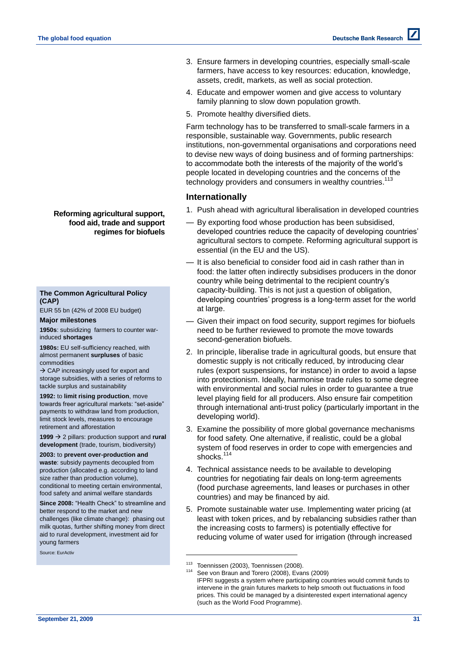- 3. Ensure farmers in developing countries, especially small-scale farmers, have access to key resources: education, knowledge, assets, credit, markets, as well as social protection.
- 4. Educate and empower women and give access to voluntary family planning to slow down population growth.
- 5. Promote healthy diversified diets.

Farm technology has to be transferred to small-scale farmers in a responsible, sustainable way. Governments, public research institutions, non-governmental organisations and corporations need to devise new ways of doing business and of forming partnerships: to accommodate both the interests of the majority of the world's people located in developing countries and the concerns of the technology providers and consumers in wealthy countries.<sup>113</sup>

## **Internationally**

- 1. Push ahead with agricultural liberalisation in developed countries
- By exporting food whose production has been subsidised, developed countries reduce the capacity of developing countries' agricultural sectors to compete. Reforming agricultural support is essential (in the EU and the US).
- It is also beneficial to consider food aid in cash rather than in food: the latter often indirectly subsidises producers in the donor country while being detrimental to the recipient country's capacity-building. This is not just a question of obligation, developing countries' progress is a long-term asset for the world at large.
- Given their impact on food security, support regimes for biofuels need to be further reviewed to promote the move towards second-generation biofuels.
- 2. In principle, liberalise trade in agricultural goods, but ensure that domestic supply is not critically reduced, by introducing clear rules (export suspensions, for instance) in order to avoid a lapse into protectionism. Ideally, harmonise trade rules to some degree with environmental and social rules in order to guarantee a true level playing field for all producers. Also ensure fair competition through international anti-trust policy (particularly important in the developing world).
- 3. Examine the possibility of more global governance mechanisms for food safety. One alternative, if realistic, could be a global system of food reserves in order to cope with emergencies and shocks. $1$
- 4. Technical assistance needs to be available to developing countries for negotiating fair deals on long-term agreements (food purchase agreements, land leases or purchases in other countries) and may be financed by aid.
- 5. Promote sustainable water use. Implementing water pricing (at least with token prices, and by rebalancing subsidies rather than the increasing costs to farmers) is potentially effective for reducing volume of water used for irrigation (through increased

l

## **Reforming agricultural support, food aid, trade and support regimes for biofuels**

## **The Common Agricultural Policy (CAP)**

EUR 55 bn (42% of 2008 EU budget)

#### **Major milestones**

**1950s**: subsidizing farmers to counter warinduced **shortages**

**1980s:** EU self-sufficiency reached, with almost permanent **surpluses** of basic commodities

 $\rightarrow$  CAP increasingly used for export and storage subsidies, with a series of reforms to tackle surplus and sustainability

**1992:** to **limit rising production**, move towards freer agricultural markets: "set-aside" payments to withdraw land from production, limit stock levels, measures to encourage retirement and afforestation

**1999** 2 pillars: production support and **rural development** (trade, tourism, biodiversity)

**2003:** to **prevent over-production and waste**: subsidy payments decoupled from production (allocated e.g. according to land size rather than production volume), conditional to meeting certain environmental, food safety and animal welfare standards

Since 2008: "Health Check" to streamline and better respond to the market and new challenges (like climate change): phasing out milk quotas, further shifting money from direct aid to rural development, investment aid for young farmers

Source: EurActiv

<sup>113</sup> Toennissen (2003), Toennissen (2008).<br>114 October Breuse (1908), France (2009), France

See von Braun and Torero (2008), Evans (2009) IFPRI suggests a system where participating countries would commit funds to intervene in the grain futures markets to help smooth out fluctuations in food prices. This could be managed by a disinterested expert international agency (such as the World Food Programme).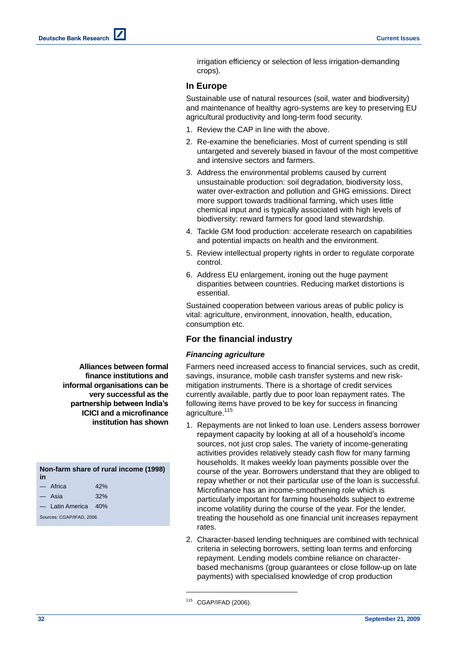irrigation efficiency or selection of less irrigation-demanding crops).

## **In Europe**

Sustainable use of natural resources (soil, water and biodiversity) and maintenance of healthy agro-systems are key to preserving EU agricultural productivity and long-term food security.

- 1. Review the CAP in line with the above.
- 2. Re-examine the beneficiaries. Most of current spending is still untargeted and severely biased in favour of the most competitive and intensive sectors and farmers.
- 3. Address the environmental problems caused by current unsustainable production: soil degradation, biodiversity loss, water over-extraction and pollution and GHG emissions. Direct more support towards traditional farming, which uses little chemical input and is typically associated with high levels of biodiversity: reward farmers for good land stewardship.
- 4. Tackle GM food production: accelerate research on capabilities and potential impacts on health and the environment.
- 5. Review intellectual property rights in order to regulate corporate control.
- 6. Address EU enlargement, ironing out the huge payment disparities between countries. Reducing market distortions is essential.

Sustained cooperation between various areas of public policy is vital: agriculture, environment, innovation, health, education, consumption etc.

## **For the financial industry**

## *Financing agriculture*

Farmers need increased access to financial services, such as credit, savings, insurance, mobile cash transfer systems and new riskmitigation instruments. There is a shortage of credit services currently available, partly due to poor loan repayment rates. The following items have proved to be key for success in financing agriculture.<sup>115</sup>

- 1. Repayments are not linked to loan use. Lenders assess borrower repayment capacity by looking at all of a household's income sources, not just crop sales. The variety of income-generating activities provides relatively steady cash flow for many farming households. It makes weekly loan payments possible over the course of the year. Borrowers understand that they are obliged to repay whether or not their particular use of the loan is successful. Microfinance has an income-smoothening role which is particularly important for farming households subject to extreme income volatility during the course of the year. For the lender, treating the household as one financial unit increases repayment rates.
- 2. Character-based lending techniques are combined with technical criteria in selecting borrowers, setting loan terms and enforcing repayment. Lending models combine reliance on characterbased mechanisms (group guarantees or close follow-up on late payments) with specialised knowledge of crop production

<sup>115</sup> CGAP/IFAD (2006).

l

**Alliances between formal finance institutions and informal organisations can be very successful as the partnership between India's ICICI and a microfinance institution has shown**

**Non-farm share of rural income (1998) in**  $-$  Africa  $42%$ — Asia 32%

Latin America 40%

Sources: CGAP/IFAD, 2006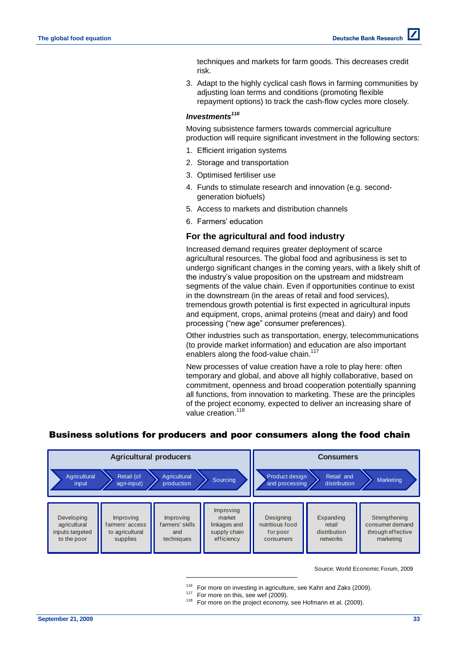techniques and markets for farm goods. This decreases credit risk.

3. Adapt to the highly cyclical cash flows in farming communities by adjusting loan terms and conditions (promoting flexible repayment options) to track the cash-flow cycles more closely.

## *Investments<sup>116</sup>*

Moving subsistence farmers towards commercial agriculture production will require significant investment in the following sectors:

- 1. Efficient irrigation systems
- 2. Storage and transportation
- 3. Optimised fertiliser use
- 4. Funds to stimulate research and innovation (e.g. secondgeneration biofuels)
- 5. Access to markets and distribution channels
- 6. Farmers' education

## **For the agricultural and food industry**

Increased demand requires greater deployment of scarce agricultural resources. The global food and agribusiness is set to undergo significant changes in the coming years, with a likely shift of the industry's value proposition on the upstream and midstream segments of the value chain. Even if opportunities continue to exist in the downstream (in the areas of retail and food services), tremendous growth potential is first expected in agricultural inputs and equipment, crops, animal proteins (meat and dairy) and food processing ("new age" consumer preferences).

Other industries such as transportation, energy, telecommunications (to provide market information) and education are also important enablers along the food-value chain.<sup>117</sup>

New processes of value creation have a role to play here: often temporary and global, and above all highly collaborative, based on commitment, openness and broad cooperation potentially spanning all functions, from innovation to marketing. These are the principles of the project economy, expected to deliver an increasing share of value creation.<sup>118</sup>

# Business solutions for producers and poor consumers along the food chain



Source: World Economic Forum, 2009

- $116$  For more on investing in agriculture, see Kahn and Zaks (2009).
- <sup>117</sup> For more on this, see wef (2009).

l

 $118$  For more on the project economy, see Hofmann et al. (2009).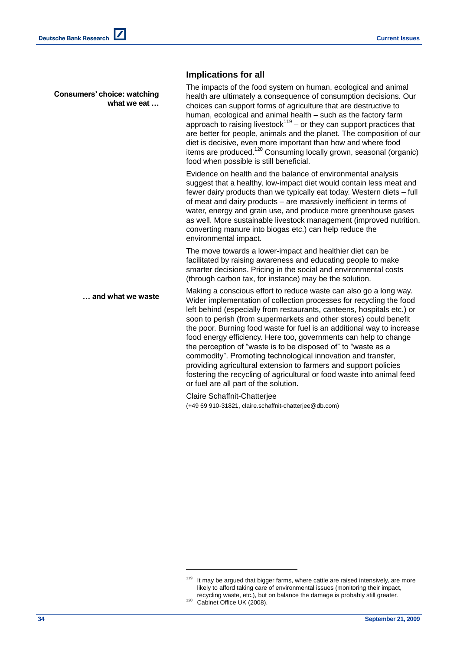**Consumers' choice: watching what we eat …**

## **Implications for all**

The impacts of the food system on human, ecological and animal health are ultimately a consequence of consumption decisions. Our choices can support forms of agriculture that are destructive to human, ecological and animal health – such as the factory farm approach to raising livestock $119$  – or they can support practices that are better for people, animals and the planet. The composition of our diet is decisive, even more important than how and where food items are produced.<sup>120</sup> Consuming locally grown, seasonal (organic) food when possible is still beneficial.

Evidence on health and the balance of environmental analysis suggest that a healthy, low-impact diet would contain less meat and fewer dairy products than we typically eat today. Western diets – full of meat and dairy products – are massively inefficient in terms of water, energy and grain use, and produce more greenhouse gases as well. More sustainable livestock management (improved nutrition, converting manure into biogas etc.) can help reduce the environmental impact.

The move towards a lower-impact and healthier diet can be facilitated by raising awareness and educating people to make smarter decisions. Pricing in the social and environmental costs (through carbon tax, for instance) may be the solution.

Making a conscious effort to reduce waste can also go a long way. Wider implementation of collection processes for recycling the food left behind (especially from restaurants, canteens, hospitals etc.) or soon to perish (from supermarkets and other stores) could benefit the poor. Burning food waste for fuel is an additional way to increase food energy efficiency. Here too, governments can help to change the perception of "waste is to be disposed of" to "waste as a commodity". Promoting technological innovation and transfer, providing agricultural extension to farmers and support policies fostering the recycling of agricultural or food waste into animal feed or fuel are all part of the solution. **… and what we waste**

> Claire Schaffnit-Chatterjee (+49 69 910-31821, claire.schaffnit-chatterjee@db.com)

 $119$  It may be argued that bigger farms, where cattle are raised intensively, are more likely to afford taking care of environmental issues (monitoring their impact, recycling waste, etc.), but on balance the damage is probably still greater.

<sup>&</sup>lt;sup>120</sup> Cabinet Office UK (2008).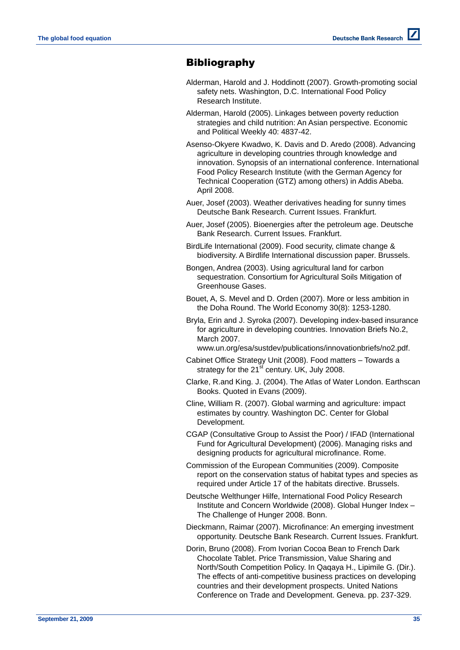# **Bibliography**

- Alderman, Harold and J. Hoddinott (2007). Growth-promoting social safety nets. Washington, D.C. International Food Policy Research Institute.
- Alderman, Harold (2005). Linkages between poverty reduction strategies and child nutrition: An Asian perspective. Economic and Political Weekly 40: 4837-42.
- Asenso-Okyere Kwadwo, K. Davis and D. Aredo (2008). Advancing agriculture in developing countries through knowledge and innovation. Synopsis of an international conference. International Food Policy Research Institute (with the German Agency for Technical Cooperation (GTZ) among others) in Addis Abeba. April 2008.
- Auer, Josef (2003). Weather derivatives heading for sunny times Deutsche Bank Research. Current Issues. Frankfurt.
- Auer, Josef (2005). Bioenergies after the petroleum age. Deutsche Bank Research. Current Issues. Frankfurt.
- BirdLife International (2009). Food security, climate change & biodiversity. A Birdlife International discussion paper. Brussels.
- Bongen, Andrea (2003). Using agricultural land for carbon sequestration. Consortium for Agricultural Soils Mitigation of Greenhouse Gases.
- Bouet, A, S. Mevel and D. Orden (2007). More or less ambition in the Doha Round. The World Economy 30(8): 1253-1280.
- Bryla, Erin and J. Syroka (2007). Developing index-based insurance for agriculture in developing countries. Innovation Briefs No.2, March 2007.
	- www.un.org/esa/sustdev/publications/innovationbriefs/no2.pdf.
- Cabinet Office Strategy Unit (2008). Food matters Towards a strategy for the  $21<sup>st</sup>$  century. UK, July 2008.
- Clarke, R.and King. J. (2004). The Atlas of Water London. Earthscan Books. Quoted in Evans (2009).
- Cline, William R. (2007). Global warming and agriculture: impact estimates by country. Washington DC. Center for Global Development.
- CGAP (Consultative Group to Assist the Poor) / IFAD (International Fund for Agricultural Development) (2006). Managing risks and designing products for agricultural microfinance. Rome.
- Commission of the European Communities (2009). Composite report on the conservation status of habitat types and species as required under Article 17 of the habitats directive. Brussels.
- Deutsche Welthunger Hilfe, International Food Policy Research Institute and Concern Worldwide (2008). Global Hunger Index – The Challenge of Hunger 2008. Bonn.
- Dieckmann, Raimar (2007). Microfinance: An emerging investment opportunity. Deutsche Bank Research. Current Issues. Frankfurt.
- Dorin, Bruno (2008). From Ivorian Cocoa Bean to French Dark Chocolate Tablet. Price Transmission, Value Sharing and North/South Competition Policy. In Qaqaya H., Lipimile G. (Dir.). The effects of anti-competitive business practices on developing countries and their development prospects. United Nations Conference on Trade and Development. Geneva. pp. 237-329.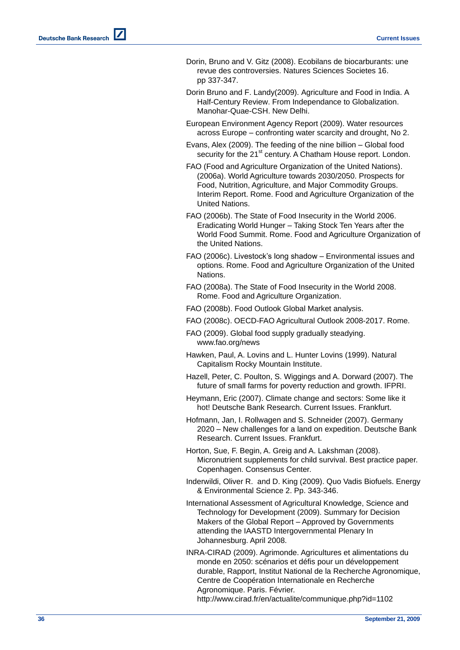- Dorin, Bruno and V. Gitz (2008) . Ecobilans de biocarburants: une revue des controversies . Natures Sciences Societes 16. pp 337 -347 .
- Dorin Bruno and F. Landy(2009). Agriculture and Food in India. A Half -Century Review . From Independance to Globalization . Manohar -Quae -CSH . New Delhi .
- European Environment Agency Report (2009) . Water resources across Europe – confronting water scarcity and drought , No 2.
- Evans, Alex (2009) . The feeding of the nine billion Global food security for the 21<sup>st</sup> century. A Chatham House report. London.
- FAO (Food and Agriculture Organization of the United Nations). (2006a). World Agriculture towards 2030/2050. Prospects for Food, Nutrition, Agriculture, and Major Commodity Groups. Interim Report. Rome . Food and Agriculture Organization of the United Nations.
- FAO (2006b ) . The State of Food Insecurity in the World 2006. Eradicating World Hunger – Taking Stock Ten Years after the World Food Summit. Rome. Food and Agriculture Organization of the United Nations.
- FAO (2006c) . Livestock's long shadow Environmental issues and options . Rome . Food and Agriculture Organization of the United Nations.
- FAO (2008a) . The State of Food Insecurity in the World 2008 . Rome . Food and Agriculture Organization.
- FAO (2008b) . Food Outlook Global Market analysis .
- FAO (2008c). OECD-FAO Agricultural Outlook 2008-2017. Rome.
- FAO (2009) . Global food supply gradually steadying. [www.fao.org/news](http://www.fao.org/news)
- Hawken, Paul, A. Lovins and L. Hunter Lovins (1999) . Natural Capitalism Rocky Mountain Institute .
- Hazell, Peter, C. Poulton, S. Wiggings and A. Dorward (2007). The future of small farms for poverty reduction and growth. IFPRI .
- Heymann, Eric (2007) . Climate change and sectors: Some like it hot! Deutsche Bank Research . Current Issues. Frankfurt .
- Hofmann, Jan, I. Rollwagen and S. Schneider (200 7 ) . Germany 2020 – New challenges for a land on expedition . Deutsche Bank Research . Current Issues. Frankfurt .
- Horton, Sue, F. Begin, A. Greig and A. Lakshman (2008) . Micronutrient supplements for child survival. Best practice paper . Copenhagen . Consensus Center .
- Inderwildi, Oliver R. and [D. King](http://en.wikipedia.org/wiki/David_King_(scientist)) (2009). Quo Vadis Biofuels. Energy & Environmental Science 2. Pp. 343 -346.
- International Assessment of Agricultural Knowledge, Science and Technology for Development (2009) . Summary for Decision Makers of the Global Report – Approved by Governments attending the IAASTD Intergovernmental Plenary In Johannesburg . April 2008 .
- INRA -CIRAD (2009). Agrimonde. Agricultures et alimentations du monde en 2050: scénarios et défis pour un développement durable, Rapport, Institut National de la Recherche Agronomique, Centre de Coopération Internationale en Recherche Agronomique . Paris . Février . <http://www.cirad.fr/en/actualite/communique.php?id=1102>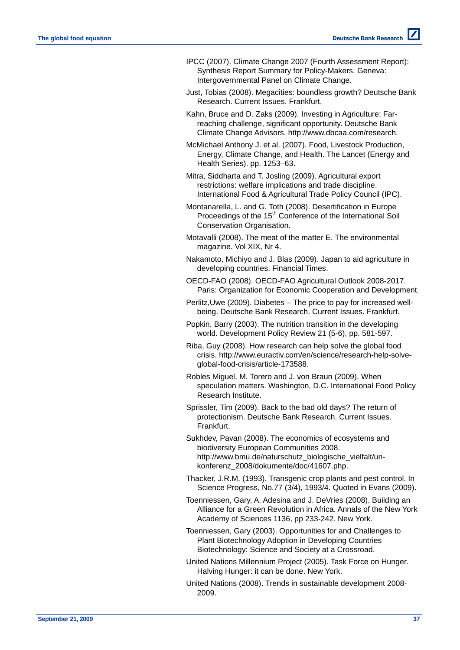- IPCC (2007). Climate Change 2007 (Fourth Assessment Report): Synthesis Report Summary for Policy-Makers. Geneva: Intergovernmental Panel on Climate Change.
- Just, Tobias (2008). Megacities: boundless growth? Deutsche Bank Research. Current Issues. Frankfurt.
- Kahn, Bruce and D. Zaks (2009). Investing in Agriculture: Farreaching challenge, significant opportunity. Deutsche Bank Climate Change Advisors. [http://www.dbcaa.com/research.](http://www.dbcaa.com/research)

McMichael Anthony J. et al. (2007). Food, Livestock Production, Energy, Climate Change, and Health. The Lancet (Energy and Health Series). pp. 1253–63.

Mitra, Siddharta and T. Josling (2009). Agricultural export restrictions: welfare implications and trade discipline. International Food & Agricultural Trade Policy Council (IPC).

Montanarella, L. and G. Toth (2008). Desertification in Europe Proceedings of the 15<sup>th</sup> Conference of the International Soil Conservation Organisation.

Motavalli (2008). The meat of the matter E. The environmental magazine. Vol XIX, Nr 4.

- Nakamoto, Michiyo and J. Blas (2009). Japan to aid agriculture in developing countries. Financial Times.
- OECD-FAO (2008). OECD-FAO Agricultural Outlook 2008-2017. Paris: Organization for Economic Cooperation and Development.
- Perlitz,Uwe (2009). Diabetes The price to pay for increased wellbeing. Deutsche Bank Research. Current Issues. Frankfurt.
- Popkin, Barry (2003). The nutrition transition in the developing world. Development Policy Review 21 (5-6), pp. 581-597.

Riba, Guy (2008). How research can help solve the global food crisis. [http://www.euractiv.com/en/science/research-help-solve](http://www.euractiv.com/en/science/research-help-solve-global-food-)[global-food-c](http://www.euractiv.com/en/science/research-help-solve-global-food-)risis/article-173588.

Robles Miguel, M. Torero and J. von Braun (2009). When speculation matters. Washington, D.C. International Food Policy Research Institute.

Sprissler, Tim (2009). Back to the bad old days? The return of protectionism. Deutsche Bank Research. Current Issues. Frankfurt.

Sukhdev, Pavan (2008). The economics of ecosystems and biodiversity European Communities 2008. http://www.bmu.de/naturschutz\_biologische\_vielfalt/unkonferenz\_2008/dokumente/doc/41607.php.

Thacker, J.R.M. (1993). Transgenic crop plants and pest control. In Science Progress, No.77 (3/4), 1993/4. Quoted in Evans (2009).

Toenniessen, Gary, A. Adesina and J. DeVries (2008). Building an Alliance for a Green Revolution in Africa. Annals of the New York Academy of Sciences 1136, pp 233-242. New York.

Toenniessen, Gary (2003). Opportunities for and Challenges to Plant Biotechnology Adoption in Developing Countries Biotechnology: Science and Society at a Crossroad.

United Nations Millennium Project (2005). Task Force on Hunger. Halving Hunger: it can be done. New York.

United Nations (2008). Trends in sustainable development 2008- 2009.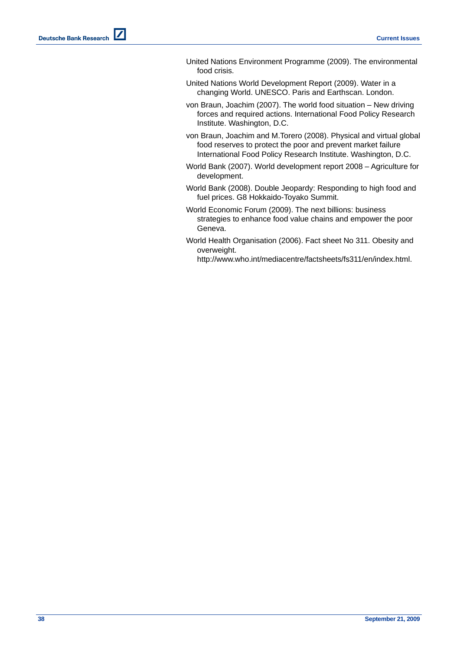- United Nations Environment Programme (2009). The environmental food crisis.
- United Nations World Development Report (2009). Water in a changing World. UNESCO. Paris and Earthscan. London.
- von Braun, Joachim (2007). The world food situation New driving forces and required actions. International Food Policy Research Institute. Washington, D.C.
- von Braun, Joachim and M.Torero (2008). Physical and virtual global food reserves to protect the poor and prevent market failure International Food Policy Research Institute. Washington, D.C.
- World Bank (2007). World development report 2008 Agriculture for development.
- World Bank (2008). Double Jeopardy: Responding to high food and fuel prices. G8 Hokkaido-Toyako Summit.
- World Economic Forum (2009). The next billions: business strategies to enhance food value chains and empower the poor Geneva.
- World Health Organisation (2006). Fact sheet No 311. Obesity and overweight.

http://www.who.int/mediacentre/factsheets/fs311/en/index.html.